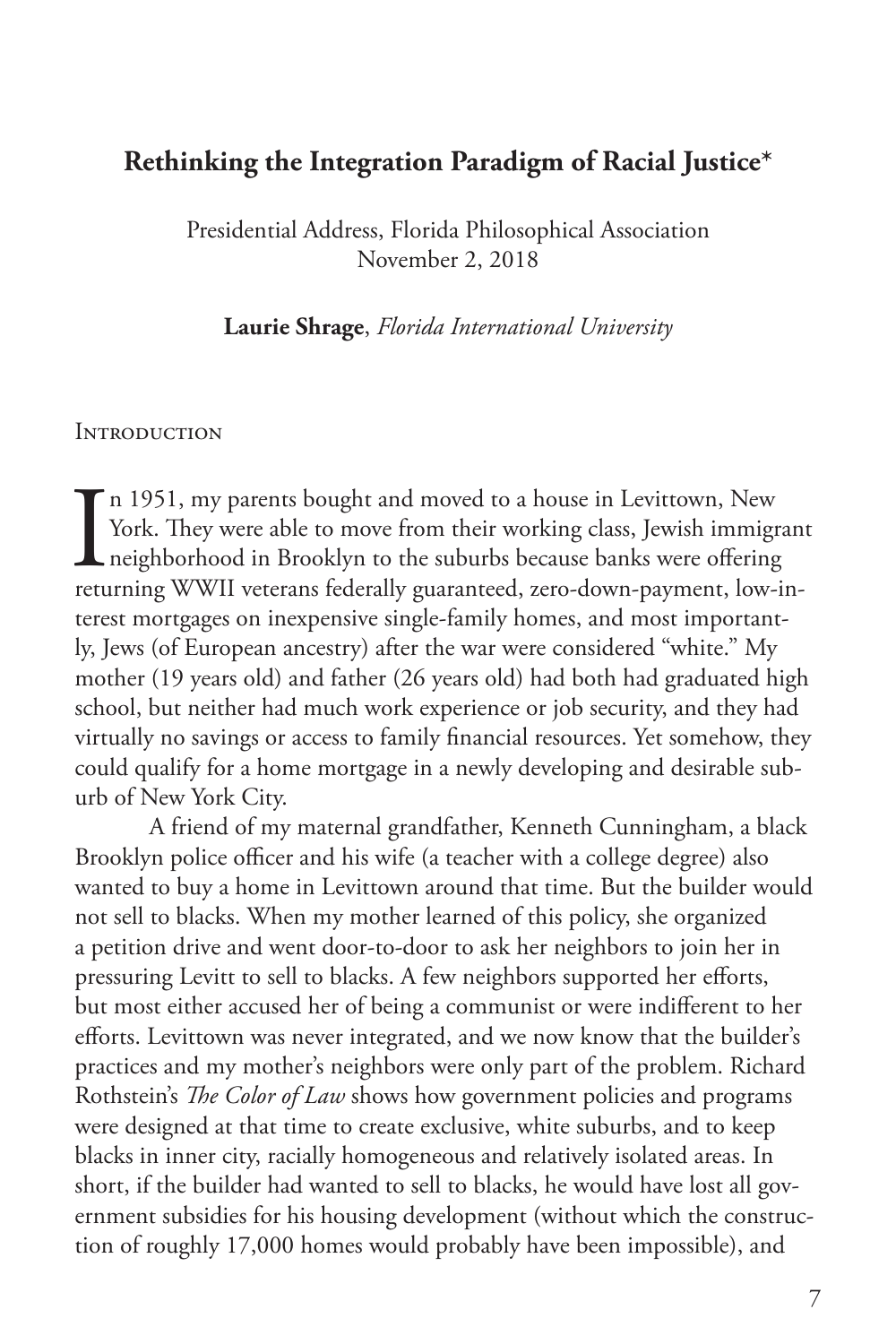# **Rethinking the Integration Paradigm of Racial Justice\***

Presidential Address, Florida Philosophical Association November 2, 2018

**Laurie Shrage**, *Florida International University*

#### **INTRODUCTION**

 $\prod_{\rm retu}$ n 1951, my parents bought and moved to a house in Levittown, New York. They were able to move from their working class, Jewish immigrant neighborhood in Brooklyn to the suburbs because banks were offering returning WWII veterans federally guaranteed, zero-down-payment, low-interest mortgages on inexpensive single-family homes, and most importantly, Jews (of European ancestry) after the war were considered "white." My mother (19 years old) and father (26 years old) had both had graduated high school, but neither had much work experience or job security, and they had virtually no savings or access to family financial resources. Yet somehow, they could qualify for a home mortgage in a newly developing and desirable suburb of New York City.

A friend of my maternal grandfather, Kenneth Cunningham, a black Brooklyn police officer and his wife (a teacher with a college degree) also wanted to buy a home in Levittown around that time. But the builder would not sell to blacks. When my mother learned of this policy, she organized a petition drive and went door-to-door to ask her neighbors to join her in pressuring Levitt to sell to blacks. A few neighbors supported her efforts, but most either accused her of being a communist or were indifferent to her efforts. Levittown was never integrated, and we now know that the builder's practices and my mother's neighbors were only part of the problem. Richard Rothstein's *The Color of Law* shows how government policies and programs were designed at that time to create exclusive, white suburbs, and to keep blacks in inner city, racially homogeneous and relatively isolated areas. In short, if the builder had wanted to sell to blacks, he would have lost all government subsidies for his housing development (without which the construction of roughly 17,000 homes would probably have been impossible), and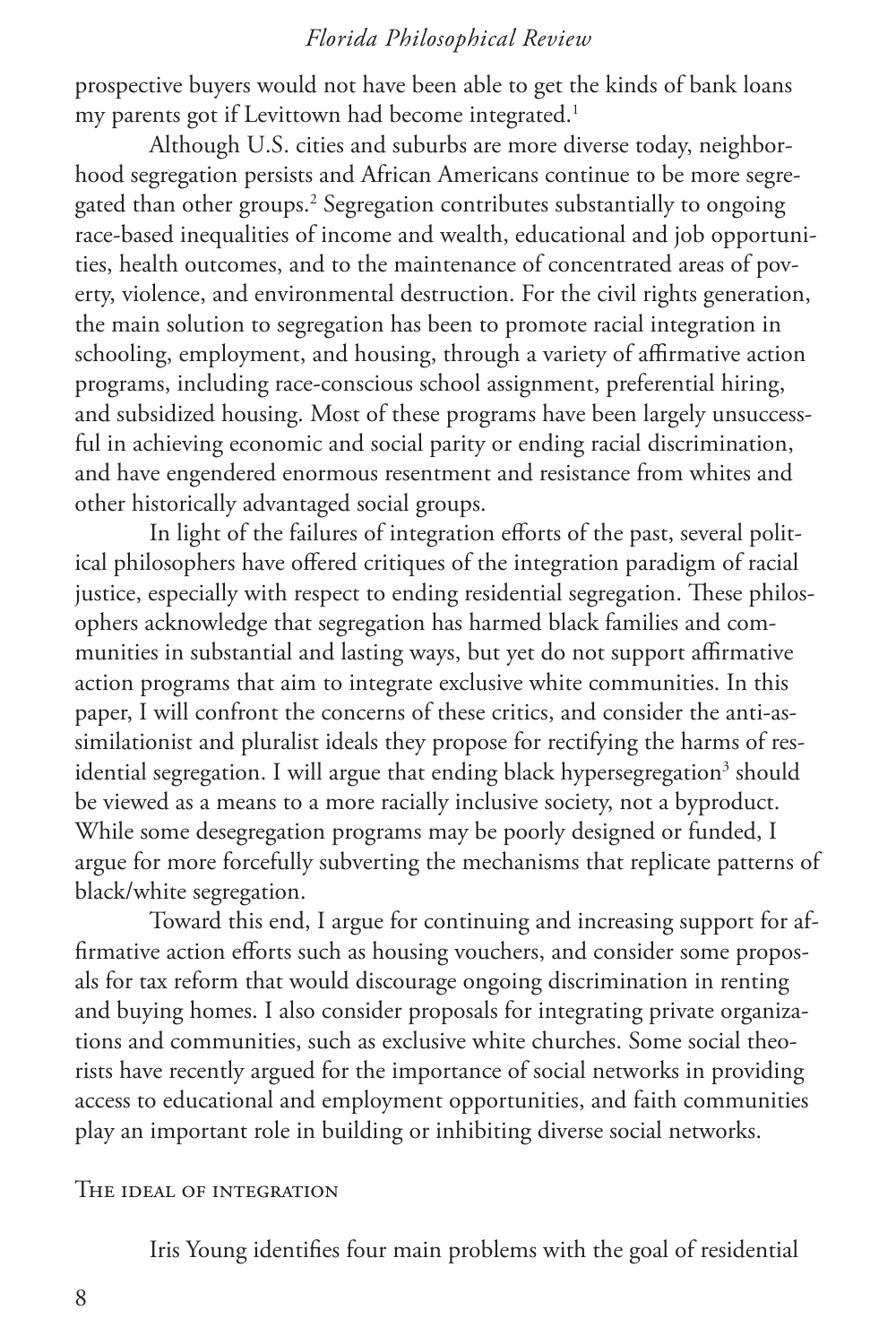prospective buyers would not have been able to get the kinds of bank loans my parents got if Levittown had become integrated.<sup>1</sup>

Although U.S. cities and suburbs are more diverse today, neighborhood segregation persists and African Americans continue to be more segregated than other groups.<sup>2</sup> Segregation contributes substantially to ongoing race-based inequalities of income and wealth, educational and job opportunities, health outcomes, and to the maintenance of concentrated areas of poverty, violence, and environmental destruction. For the civil rights generation, the main solution to segregation has been to promote racial integration in schooling, employment, and housing, through a variety of affirmative action programs, including race-conscious school assignment, preferential hiring, and subsidized housing. Most of these programs have been largely unsuccessful in achieving economic and social parity or ending racial discrimination, and have engendered enormous resentment and resistance from whites and other historically advantaged social groups.

In light of the failures of integration efforts of the past, several political philosophers have offered critiques of the integration paradigm of racial justice, especially with respect to ending residential segregation. These philosophers acknowledge that segregation has harmed black families and communities in substantial and lasting ways, but yet do not support affirmative action programs that aim to integrate exclusive white communities. In this paper, I will confront the concerns of these critics, and consider the anti-assimilationist and pluralist ideals they propose for rectifying the harms of residential segregation. I will argue that ending black hypersegregation<sup>3</sup> should be viewed as a means to a more racially inclusive society, not a byproduct. While some desegregation programs may be poorly designed or funded, I argue for more forcefully subverting the mechanisms that replicate patterns of black/white segregation.

Toward this end, I argue for continuing and increasing support for affirmative action efforts such as housing vouchers, and consider some proposals for tax reform that would discourage ongoing discrimination in renting and buying homes. I also consider proposals for integrating private organizations and communities, such as exclusive white churches. Some social theorists have recently argued for the importance of social networks in providing access to educational and employment opportunities, and faith communities play an important role in building or inhibiting diverse social networks.

#### The ideal of integration

Iris Young identifies four main problems with the goal of residential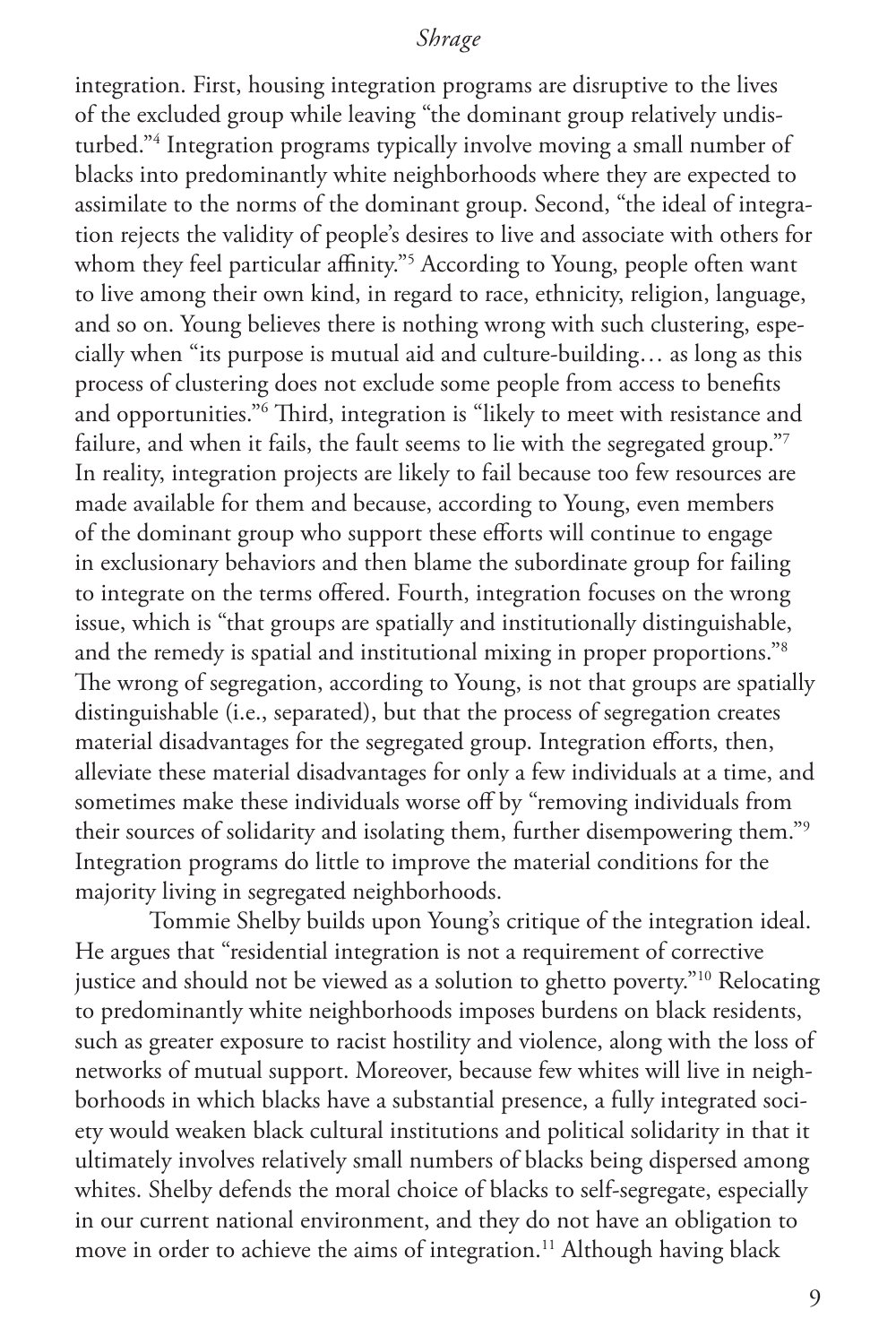integration. First, housing integration programs are disruptive to the lives of the excluded group while leaving "the dominant group relatively undisturbed."4 Integration programs typically involve moving a small number of blacks into predominantly white neighborhoods where they are expected to assimilate to the norms of the dominant group. Second, "the ideal of integration rejects the validity of people's desires to live and associate with others for whom they feel particular affinity."5 According to Young, people often want to live among their own kind, in regard to race, ethnicity, religion, language, and so on. Young believes there is nothing wrong with such clustering, especially when "its purpose is mutual aid and culture-building… as long as this process of clustering does not exclude some people from access to benefits and opportunities."6 Third, integration is "likely to meet with resistance and failure, and when it fails, the fault seems to lie with the segregated group."7 In reality, integration projects are likely to fail because too few resources are made available for them and because, according to Young, even members of the dominant group who support these efforts will continue to engage in exclusionary behaviors and then blame the subordinate group for failing to integrate on the terms offered. Fourth, integration focuses on the wrong issue, which is "that groups are spatially and institutionally distinguishable, and the remedy is spatial and institutional mixing in proper proportions."8 The wrong of segregation, according to Young, is not that groups are spatially distinguishable (i.e., separated), but that the process of segregation creates material disadvantages for the segregated group. Integration efforts, then, alleviate these material disadvantages for only a few individuals at a time, and sometimes make these individuals worse off by "removing individuals from their sources of solidarity and isolating them, further disempowering them."9 Integration programs do little to improve the material conditions for the majority living in segregated neighborhoods.

Tommie Shelby builds upon Young's critique of the integration ideal. He argues that "residential integration is not a requirement of corrective justice and should not be viewed as a solution to ghetto poverty."<sup>10</sup> Relocating to predominantly white neighborhoods imposes burdens on black residents, such as greater exposure to racist hostility and violence, along with the loss of networks of mutual support. Moreover, because few whites will live in neighborhoods in which blacks have a substantial presence, a fully integrated society would weaken black cultural institutions and political solidarity in that it ultimately involves relatively small numbers of blacks being dispersed among whites. Shelby defends the moral choice of blacks to self-segregate, especially in our current national environment, and they do not have an obligation to move in order to achieve the aims of integration.<sup>11</sup> Although having black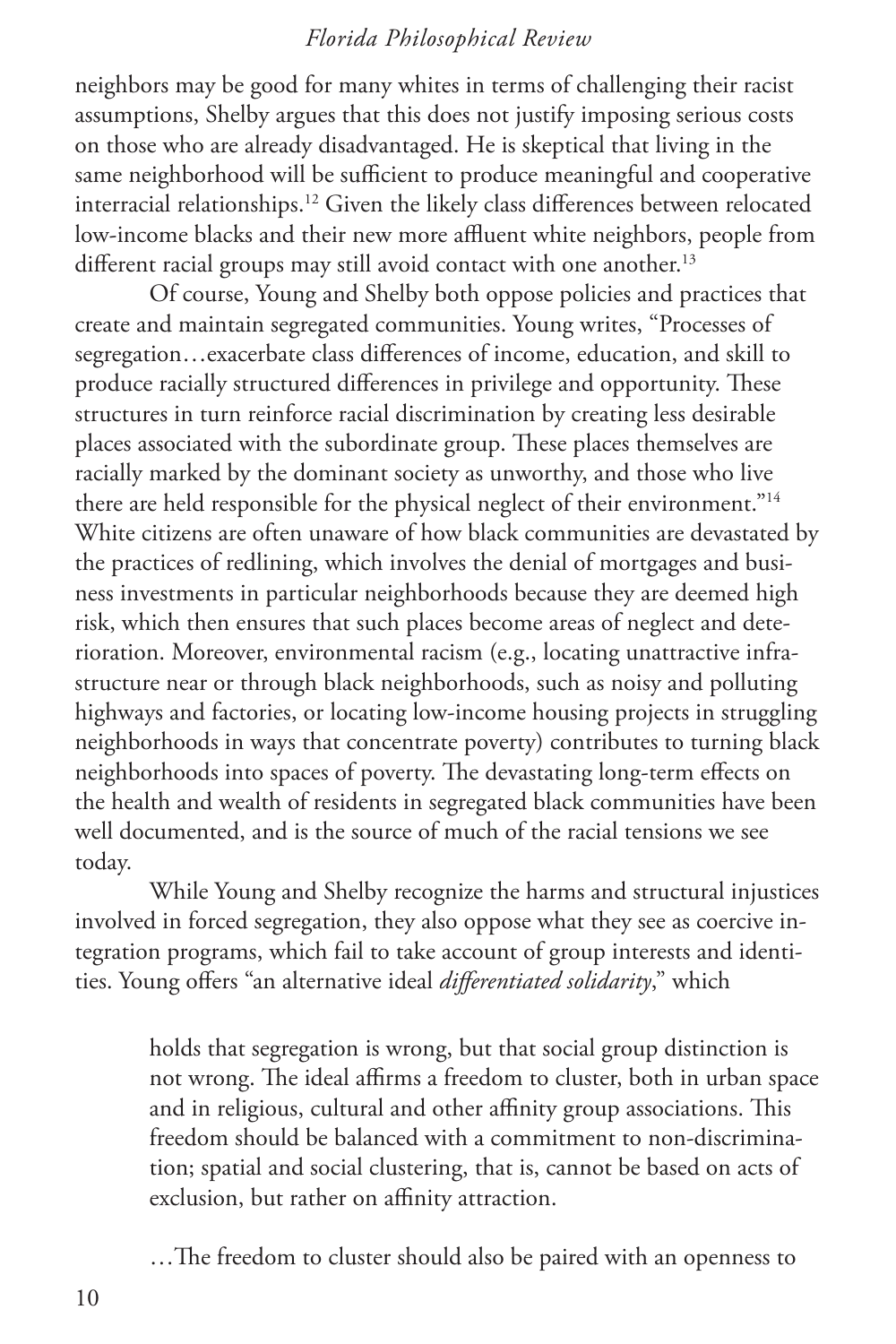neighbors may be good for many whites in terms of challenging their racist assumptions, Shelby argues that this does not justify imposing serious costs on those who are already disadvantaged. He is skeptical that living in the same neighborhood will be sufficient to produce meaningful and cooperative interracial relationships.12 Given the likely class differences between relocated low-income blacks and their new more affluent white neighbors, people from different racial groups may still avoid contact with one another.<sup>13</sup>

Of course, Young and Shelby both oppose policies and practices that create and maintain segregated communities. Young writes, "Processes of segregation…exacerbate class differences of income, education, and skill to produce racially structured differences in privilege and opportunity. These structures in turn reinforce racial discrimination by creating less desirable places associated with the subordinate group. These places themselves are racially marked by the dominant society as unworthy, and those who live there are held responsible for the physical neglect of their environment."14 White citizens are often unaware of how black communities are devastated by the practices of redlining, which involves the denial of mortgages and business investments in particular neighborhoods because they are deemed high risk, which then ensures that such places become areas of neglect and deterioration. Moreover, environmental racism (e.g., locating unattractive infrastructure near or through black neighborhoods, such as noisy and polluting highways and factories, or locating low-income housing projects in struggling neighborhoods in ways that concentrate poverty) contributes to turning black neighborhoods into spaces of poverty. The devastating long-term effects on the health and wealth of residents in segregated black communities have been well documented, and is the source of much of the racial tensions we see today.

While Young and Shelby recognize the harms and structural injustices involved in forced segregation, they also oppose what they see as coercive integration programs, which fail to take account of group interests and identities. Young offers "an alternative ideal *differentiated solidarity*," which

holds that segregation is wrong, but that social group distinction is not wrong. The ideal affirms a freedom to cluster, both in urban space and in religious, cultural and other affinity group associations. This freedom should be balanced with a commitment to non-discrimination; spatial and social clustering, that is, cannot be based on acts of exclusion, but rather on affinity attraction.

…The freedom to cluster should also be paired with an openness to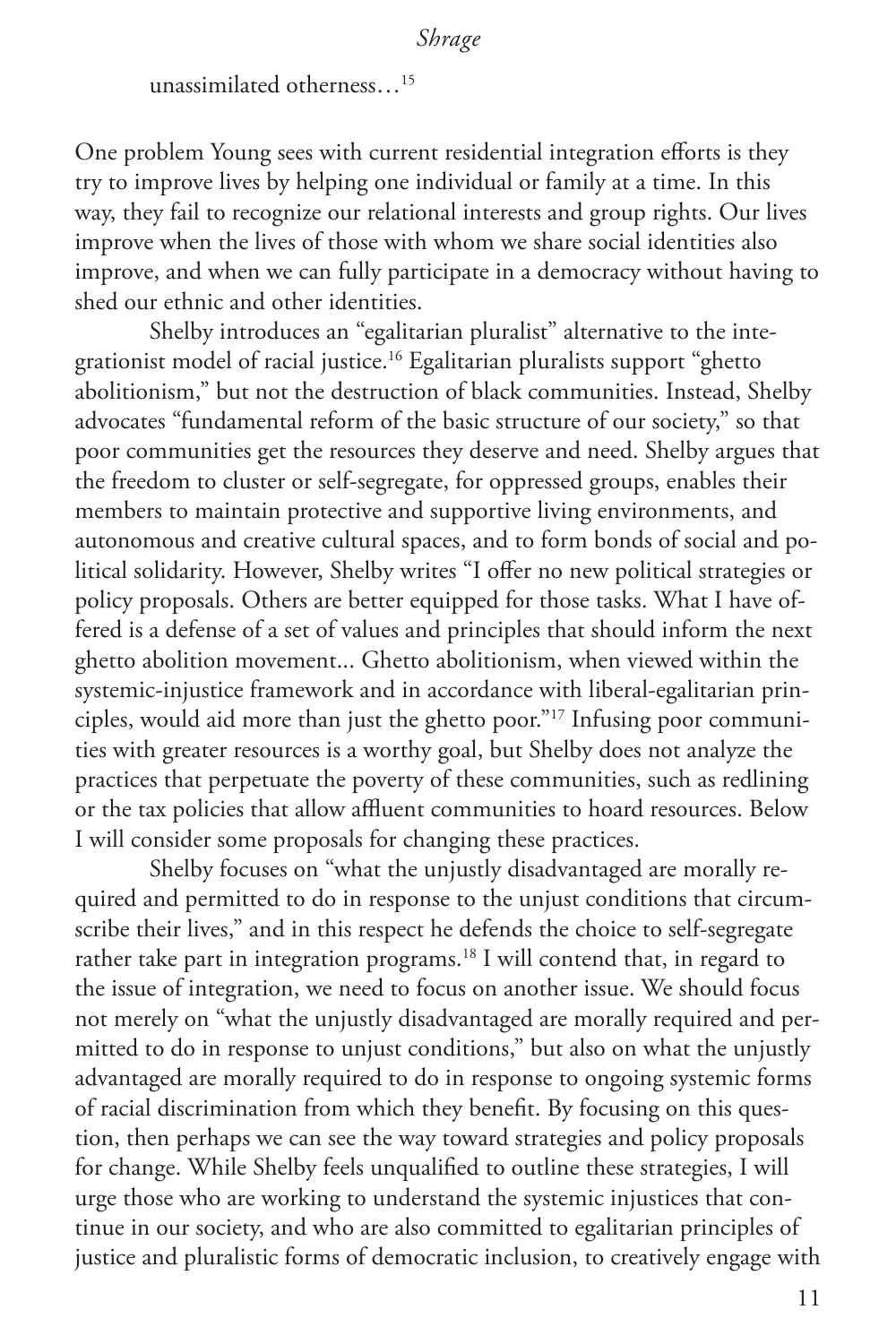unassimilated otherness…15

One problem Young sees with current residential integration efforts is they try to improve lives by helping one individual or family at a time. In this way, they fail to recognize our relational interests and group rights. Our lives improve when the lives of those with whom we share social identities also improve, and when we can fully participate in a democracy without having to shed our ethnic and other identities.

Shelby introduces an "egalitarian pluralist" alternative to the integrationist model of racial justice.16 Egalitarian pluralists support "ghetto abolitionism," but not the destruction of black communities. Instead, Shelby advocates "fundamental reform of the basic structure of our society," so that poor communities get the resources they deserve and need. Shelby argues that the freedom to cluster or self-segregate, for oppressed groups, enables their members to maintain protective and supportive living environments, and autonomous and creative cultural spaces, and to form bonds of social and political solidarity. However, Shelby writes "I offer no new political strategies or policy proposals. Others are better equipped for those tasks. What I have offered is a defense of a set of values and principles that should inform the next ghetto abolition movement... Ghetto abolitionism, when viewed within the systemic-injustice framework and in accordance with liberal-egalitarian principles, would aid more than just the ghetto poor."17 Infusing poor communities with greater resources is a worthy goal, but Shelby does not analyze the practices that perpetuate the poverty of these communities, such as redlining or the tax policies that allow affluent communities to hoard resources. Below I will consider some proposals for changing these practices.

Shelby focuses on "what the unjustly disadvantaged are morally required and permitted to do in response to the unjust conditions that circumscribe their lives," and in this respect he defends the choice to self-segregate rather take part in integration programs.<sup>18</sup> I will contend that, in regard to the issue of integration, we need to focus on another issue. We should focus not merely on "what the unjustly disadvantaged are morally required and permitted to do in response to unjust conditions," but also on what the unjustly advantaged are morally required to do in response to ongoing systemic forms of racial discrimination from which they benefit. By focusing on this question, then perhaps we can see the way toward strategies and policy proposals for change. While Shelby feels unqualified to outline these strategies, I will urge those who are working to understand the systemic injustices that continue in our society, and who are also committed to egalitarian principles of justice and pluralistic forms of democratic inclusion, to creatively engage with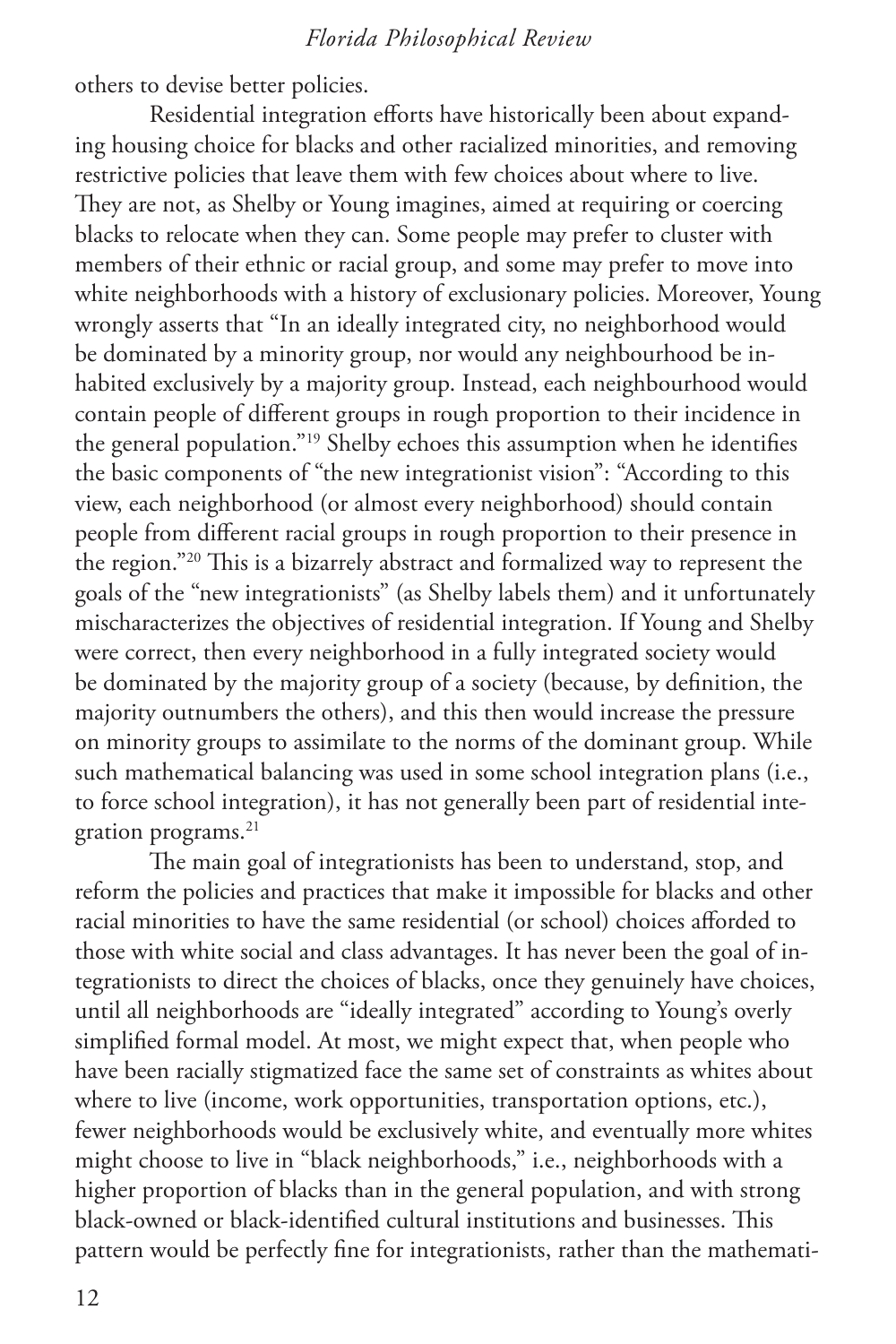others to devise better policies.

Residential integration efforts have historically been about expanding housing choice for blacks and other racialized minorities, and removing restrictive policies that leave them with few choices about where to live. They are not, as Shelby or Young imagines, aimed at requiring or coercing blacks to relocate when they can. Some people may prefer to cluster with members of their ethnic or racial group, and some may prefer to move into white neighborhoods with a history of exclusionary policies. Moreover, Young wrongly asserts that "In an ideally integrated city, no neighborhood would be dominated by a minority group, nor would any neighbourhood be inhabited exclusively by a majority group. Instead, each neighbourhood would contain people of different groups in rough proportion to their incidence in the general population."19 Shelby echoes this assumption when he identifies the basic components of "the new integrationist vision": "According to this view, each neighborhood (or almost every neighborhood) should contain people from different racial groups in rough proportion to their presence in the region."20 This is a bizarrely abstract and formalized way to represent the goals of the "new integrationists" (as Shelby labels them) and it unfortunately mischaracterizes the objectives of residential integration. If Young and Shelby were correct, then every neighborhood in a fully integrated society would be dominated by the majority group of a society (because, by definition, the majority outnumbers the others), and this then would increase the pressure on minority groups to assimilate to the norms of the dominant group. While such mathematical balancing was used in some school integration plans (i.e., to force school integration), it has not generally been part of residential integration programs.<sup>21</sup>

The main goal of integrationists has been to understand, stop, and reform the policies and practices that make it impossible for blacks and other racial minorities to have the same residential (or school) choices afforded to those with white social and class advantages. It has never been the goal of integrationists to direct the choices of blacks, once they genuinely have choices, until all neighborhoods are "ideally integrated" according to Young's overly simplified formal model. At most, we might expect that, when people who have been racially stigmatized face the same set of constraints as whites about where to live (income, work opportunities, transportation options, etc.), fewer neighborhoods would be exclusively white, and eventually more whites might choose to live in "black neighborhoods," i.e., neighborhoods with a higher proportion of blacks than in the general population, and with strong black-owned or black-identified cultural institutions and businesses. This pattern would be perfectly fine for integrationists, rather than the mathemati-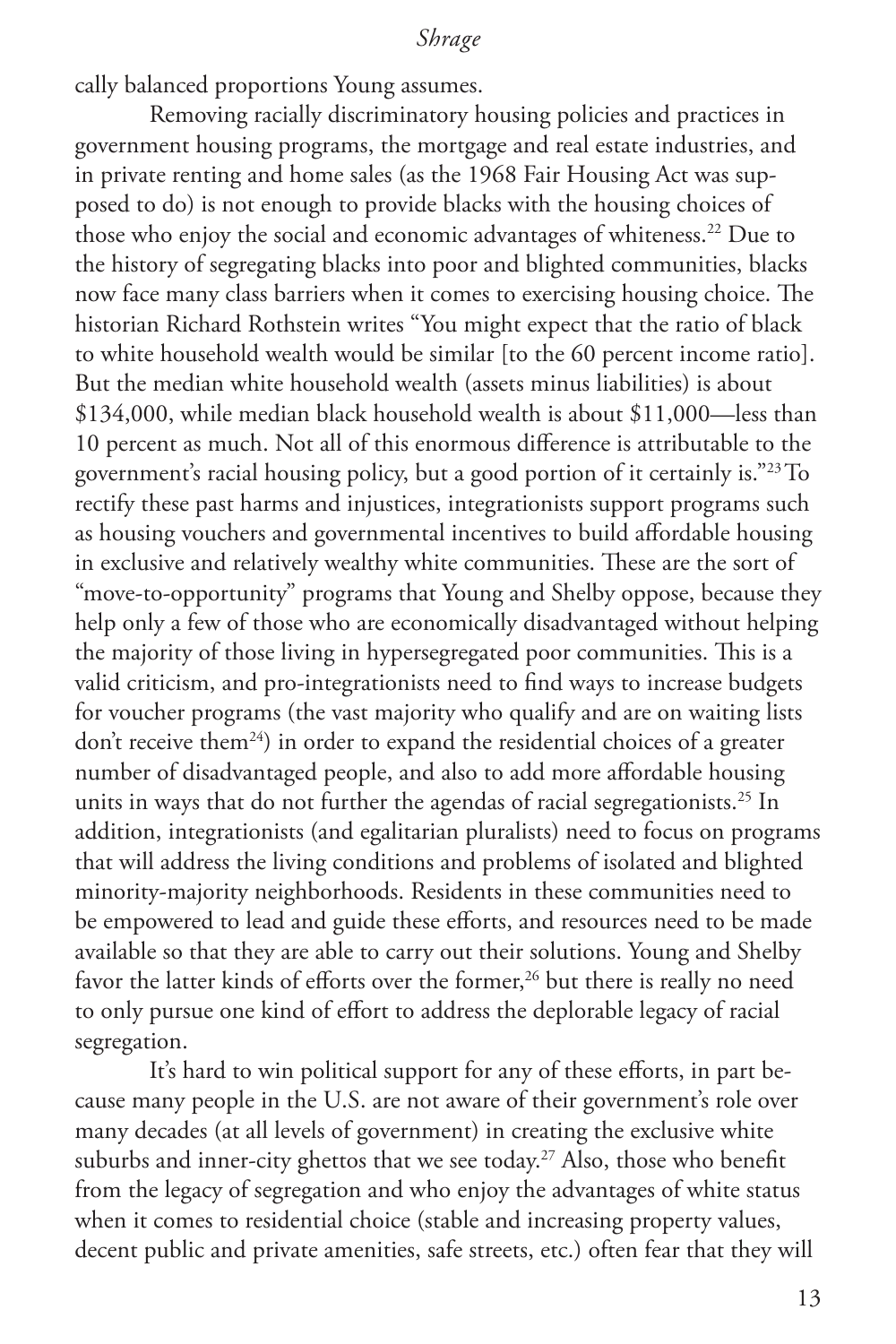cally balanced proportions Young assumes.

Removing racially discriminatory housing policies and practices in government housing programs, the mortgage and real estate industries, and in private renting and home sales (as the 1968 Fair Housing Act was supposed to do) is not enough to provide blacks with the housing choices of those who enjoy the social and economic advantages of whiteness.22 Due to the history of segregating blacks into poor and blighted communities, blacks now face many class barriers when it comes to exercising housing choice. The historian Richard Rothstein writes "You might expect that the ratio of black to white household wealth would be similar [to the 60 percent income ratio]. But the median white household wealth (assets minus liabilities) is about \$134,000, while median black household wealth is about \$11,000—less than 10 percent as much. Not all of this enormous difference is attributable to the government's racial housing policy, but a good portion of it certainly is."23To rectify these past harms and injustices, integrationists support programs such as housing vouchers and governmental incentives to build affordable housing in exclusive and relatively wealthy white communities. These are the sort of "move-to-opportunity" programs that Young and Shelby oppose, because they help only a few of those who are economically disadvantaged without helping the majority of those living in hypersegregated poor communities. This is a valid criticism, and pro-integrationists need to find ways to increase budgets for voucher programs (the vast majority who qualify and are on waiting lists don't receive them<sup>24</sup>) in order to expand the residential choices of a greater number of disadvantaged people, and also to add more affordable housing units in ways that do not further the agendas of racial segregationists.<sup>25</sup> In addition, integrationists (and egalitarian pluralists) need to focus on programs that will address the living conditions and problems of isolated and blighted minority-majority neighborhoods. Residents in these communities need to be empowered to lead and guide these efforts, and resources need to be made available so that they are able to carry out their solutions. Young and Shelby favor the latter kinds of efforts over the former,<sup>26</sup> but there is really no need to only pursue one kind of effort to address the deplorable legacy of racial segregation.

It's hard to win political support for any of these efforts, in part because many people in the U.S. are not aware of their government's role over many decades (at all levels of government) in creating the exclusive white suburbs and inner-city ghettos that we see today.<sup>27</sup> Also, those who benefit from the legacy of segregation and who enjoy the advantages of white status when it comes to residential choice (stable and increasing property values, decent public and private amenities, safe streets, etc.) often fear that they will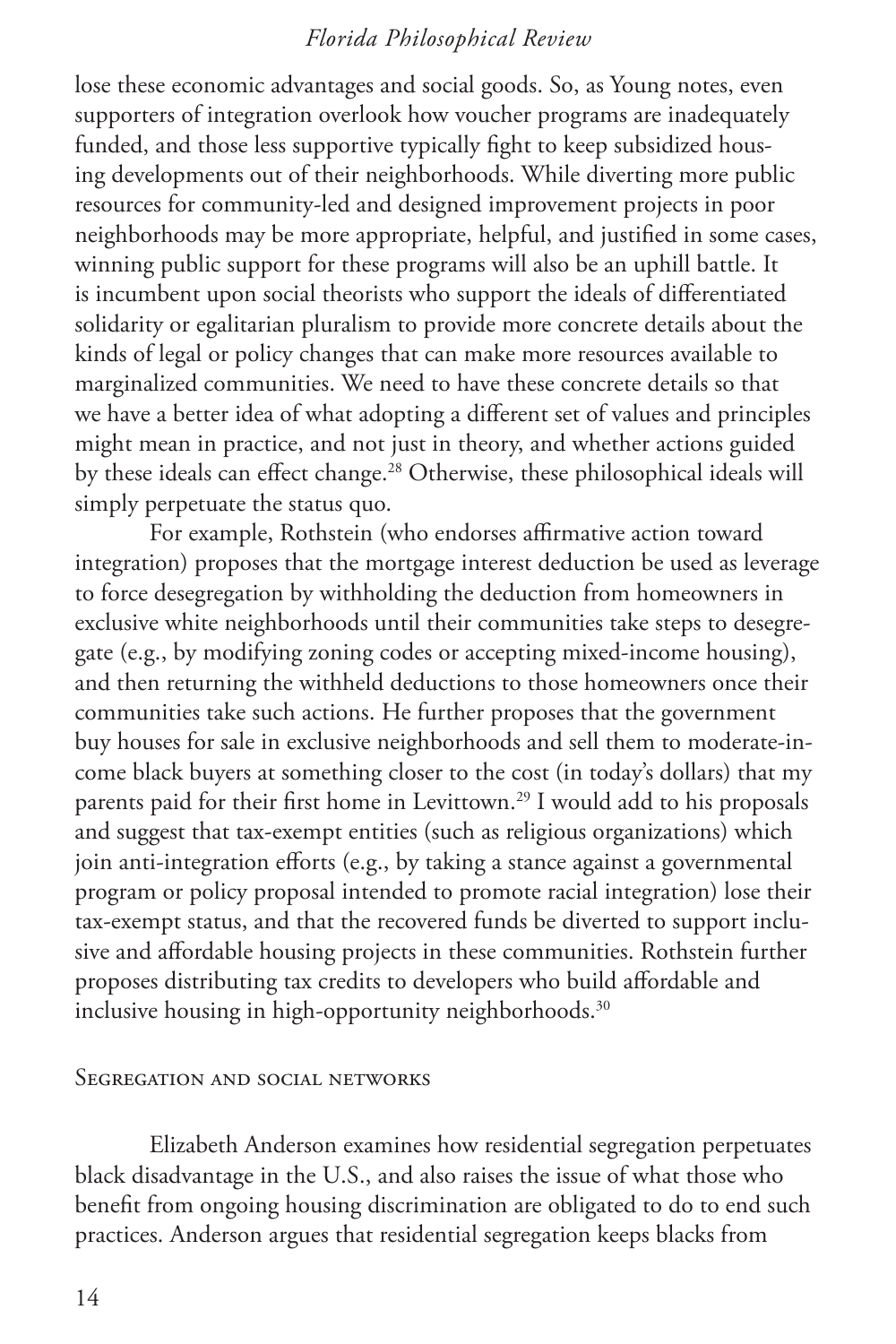lose these economic advantages and social goods. So, as Young notes, even supporters of integration overlook how voucher programs are inadequately funded, and those less supportive typically fight to keep subsidized housing developments out of their neighborhoods. While diverting more public resources for community-led and designed improvement projects in poor neighborhoods may be more appropriate, helpful, and justified in some cases, winning public support for these programs will also be an uphill battle. It is incumbent upon social theorists who support the ideals of differentiated solidarity or egalitarian pluralism to provide more concrete details about the kinds of legal or policy changes that can make more resources available to marginalized communities. We need to have these concrete details so that we have a better idea of what adopting a different set of values and principles might mean in practice, and not just in theory, and whether actions guided by these ideals can effect change.<sup>28</sup> Otherwise, these philosophical ideals will simply perpetuate the status quo.

For example, Rothstein (who endorses affirmative action toward integration) proposes that the mortgage interest deduction be used as leverage to force desegregation by withholding the deduction from homeowners in exclusive white neighborhoods until their communities take steps to desegregate (e.g., by modifying zoning codes or accepting mixed-income housing), and then returning the withheld deductions to those homeowners once their communities take such actions. He further proposes that the government buy houses for sale in exclusive neighborhoods and sell them to moderate-income black buyers at something closer to the cost (in today's dollars) that my parents paid for their first home in Levittown.<sup>29</sup> I would add to his proposals and suggest that tax-exempt entities (such as religious organizations) which join anti-integration efforts (e.g., by taking a stance against a governmental program or policy proposal intended to promote racial integration) lose their tax-exempt status, and that the recovered funds be diverted to support inclusive and affordable housing projects in these communities. Rothstein further proposes distributing tax credits to developers who build affordable and inclusive housing in high-opportunity neighborhoods.<sup>30</sup>

#### Segregation and social networks

Elizabeth Anderson examines how residential segregation perpetuates black disadvantage in the U.S., and also raises the issue of what those who benefit from ongoing housing discrimination are obligated to do to end such practices. Anderson argues that residential segregation keeps blacks from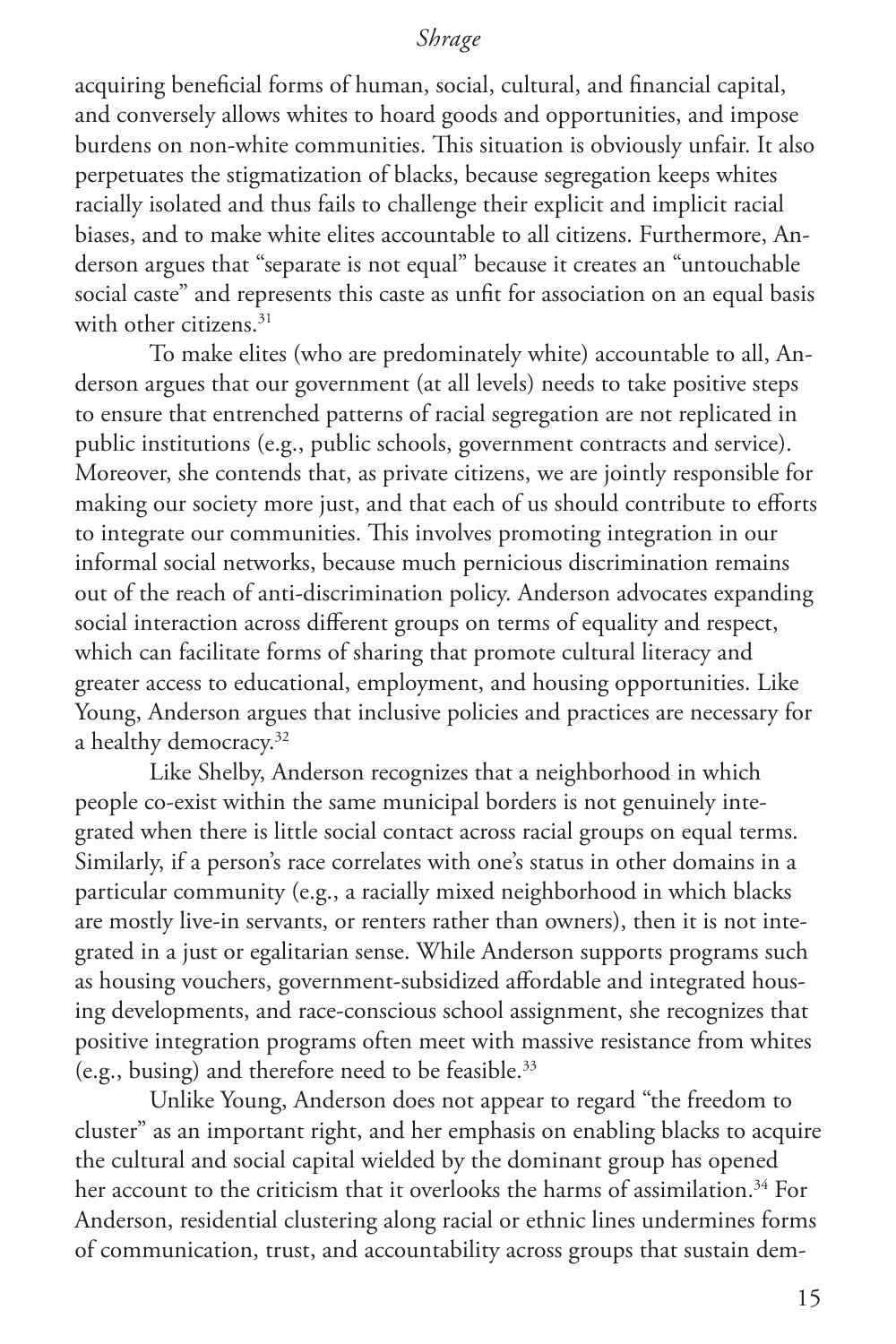acquiring beneficial forms of human, social, cultural, and financial capital, and conversely allows whites to hoard goods and opportunities, and impose burdens on non-white communities. This situation is obviously unfair. It also perpetuates the stigmatization of blacks, because segregation keeps whites racially isolated and thus fails to challenge their explicit and implicit racial biases, and to make white elites accountable to all citizens. Furthermore, Anderson argues that "separate is not equal" because it creates an "untouchable social caste" and represents this caste as unfit for association on an equal basis with other citizens.<sup>31</sup>

To make elites (who are predominately white) accountable to all, Anderson argues that our government (at all levels) needs to take positive steps to ensure that entrenched patterns of racial segregation are not replicated in public institutions (e.g., public schools, government contracts and service). Moreover, she contends that, as private citizens, we are jointly responsible for making our society more just, and that each of us should contribute to efforts to integrate our communities. This involves promoting integration in our informal social networks, because much pernicious discrimination remains out of the reach of anti-discrimination policy. Anderson advocates expanding social interaction across different groups on terms of equality and respect, which can facilitate forms of sharing that promote cultural literacy and greater access to educational, employment, and housing opportunities. Like Young, Anderson argues that inclusive policies and practices are necessary for a healthy democracy.<sup>32</sup>

Like Shelby, Anderson recognizes that a neighborhood in which people co-exist within the same municipal borders is not genuinely integrated when there is little social contact across racial groups on equal terms. Similarly, if a person's race correlates with one's status in other domains in a particular community (e.g., a racially mixed neighborhood in which blacks are mostly live-in servants, or renters rather than owners), then it is not integrated in a just or egalitarian sense. While Anderson supports programs such as housing vouchers, government-subsidized affordable and integrated housing developments, and race-conscious school assignment, she recognizes that positive integration programs often meet with massive resistance from whites (e.g., busing) and therefore need to be feasible.33

Unlike Young, Anderson does not appear to regard "the freedom to cluster" as an important right, and her emphasis on enabling blacks to acquire the cultural and social capital wielded by the dominant group has opened her account to the criticism that it overlooks the harms of assimilation.<sup>34</sup> For Anderson, residential clustering along racial or ethnic lines undermines forms of communication, trust, and accountability across groups that sustain dem-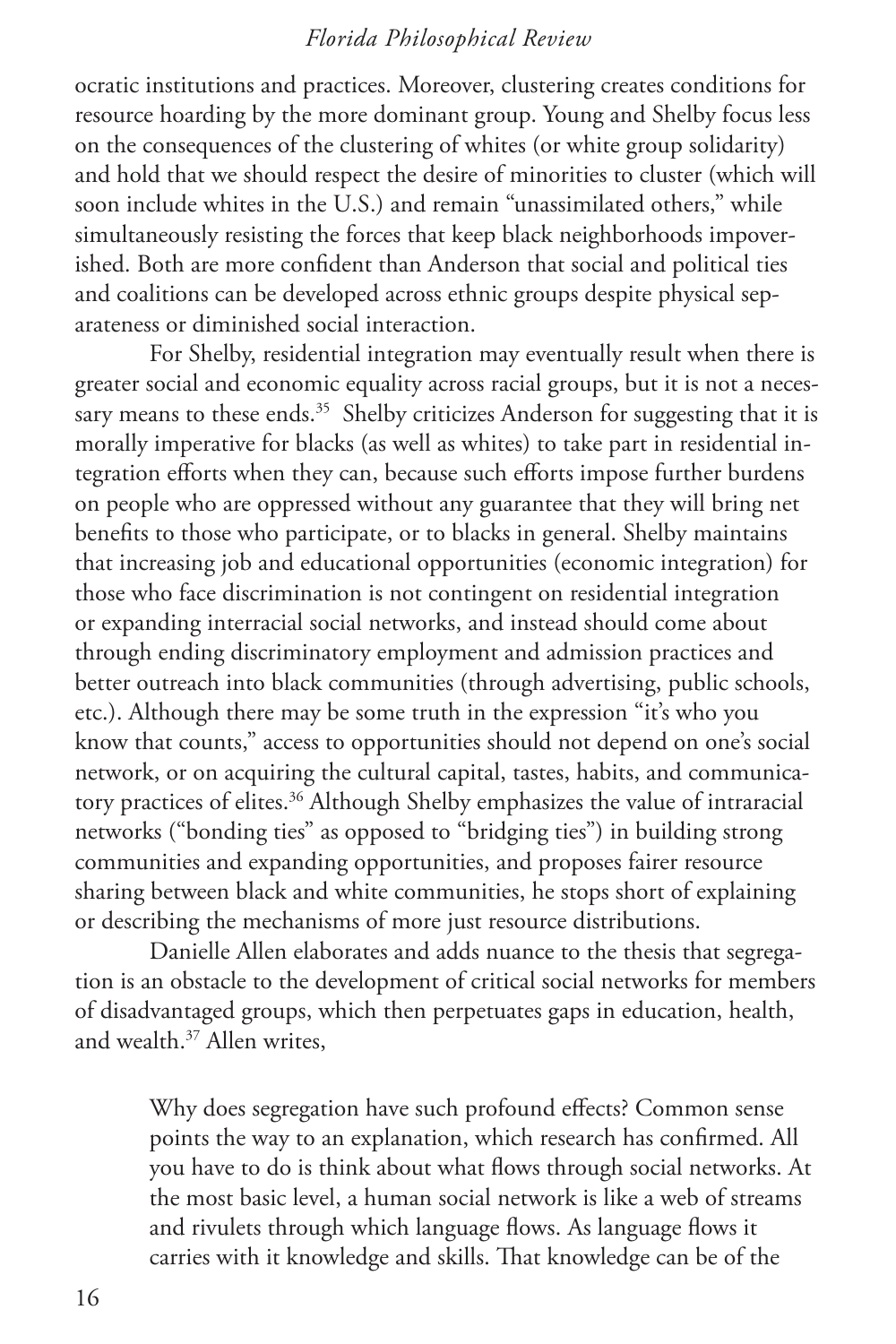ocratic institutions and practices. Moreover, clustering creates conditions for resource hoarding by the more dominant group. Young and Shelby focus less on the consequences of the clustering of whites (or white group solidarity) and hold that we should respect the desire of minorities to cluster (which will soon include whites in the U.S.) and remain "unassimilated others," while simultaneously resisting the forces that keep black neighborhoods impoverished. Both are more confident than Anderson that social and political ties and coalitions can be developed across ethnic groups despite physical separateness or diminished social interaction.

For Shelby, residential integration may eventually result when there is greater social and economic equality across racial groups, but it is not a necessary means to these ends.<sup>35</sup> Shelby criticizes Anderson for suggesting that it is morally imperative for blacks (as well as whites) to take part in residential integration efforts when they can, because such efforts impose further burdens on people who are oppressed without any guarantee that they will bring net benefits to those who participate, or to blacks in general. Shelby maintains that increasing job and educational opportunities (economic integration) for those who face discrimination is not contingent on residential integration or expanding interracial social networks, and instead should come about through ending discriminatory employment and admission practices and better outreach into black communities (through advertising, public schools, etc.). Although there may be some truth in the expression "it's who you know that counts," access to opportunities should not depend on one's social network, or on acquiring the cultural capital, tastes, habits, and communicatory practices of elites.<sup>36</sup> Although Shelby emphasizes the value of intraracial networks ("bonding ties" as opposed to "bridging ties") in building strong communities and expanding opportunities, and proposes fairer resource sharing between black and white communities, he stops short of explaining or describing the mechanisms of more just resource distributions.

Danielle Allen elaborates and adds nuance to the thesis that segregation is an obstacle to the development of critical social networks for members of disadvantaged groups, which then perpetuates gaps in education, health, and wealth.37 Allen writes,

Why does segregation have such profound effects? Common sense points the way to an explanation, which research has confirmed. All you have to do is think about what flows through social networks. At the most basic level, a human social network is like a web of streams and rivulets through which language flows. As language flows it carries with it knowledge and skills. That knowledge can be of the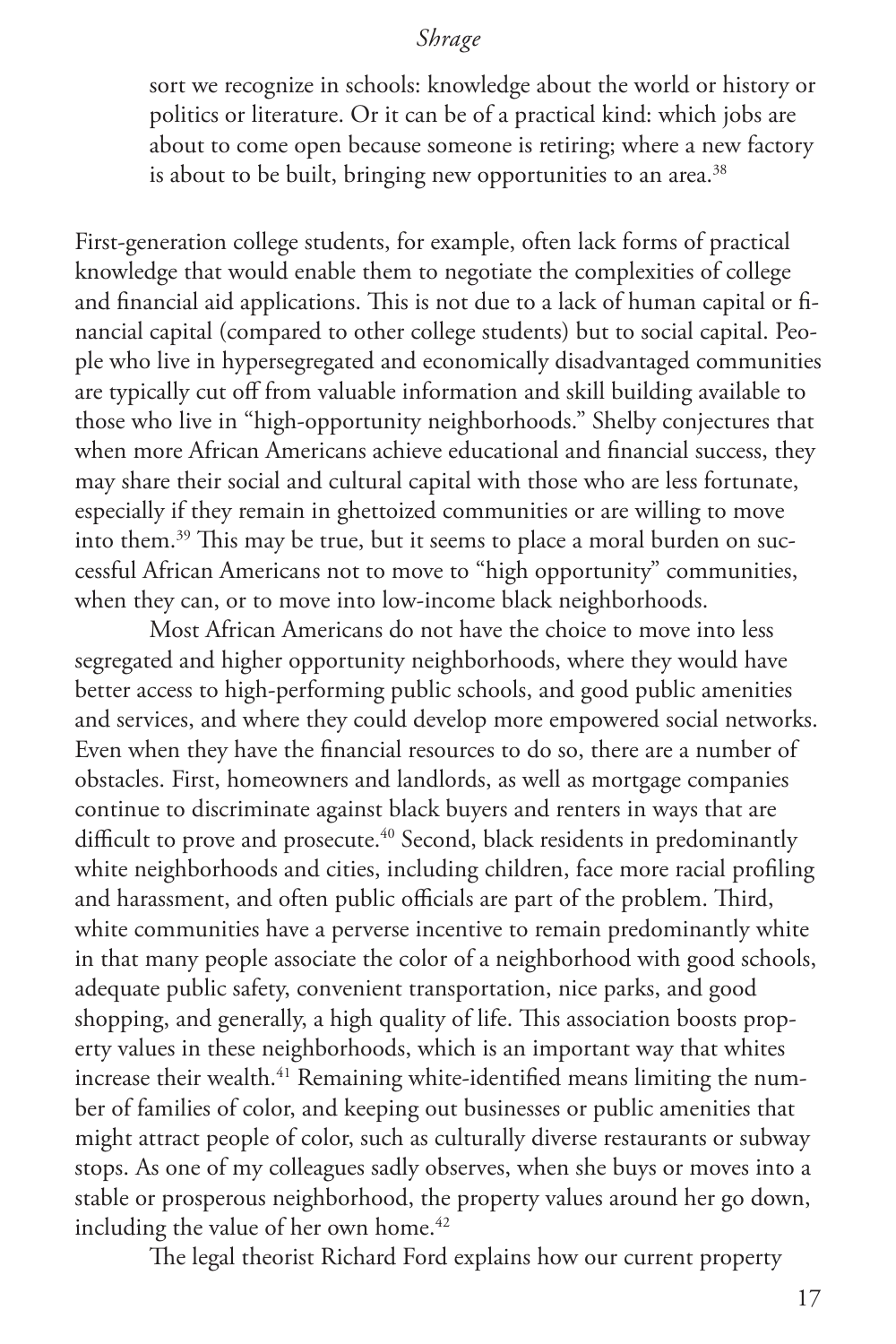sort we recognize in schools: knowledge about the world or history or politics or literature. Or it can be of a practical kind: which jobs are about to come open because someone is retiring; where a new factory is about to be built, bringing new opportunities to an area.<sup>38</sup>

First-generation college students, for example, often lack forms of practical knowledge that would enable them to negotiate the complexities of college and financial aid applications. This is not due to a lack of human capital or financial capital (compared to other college students) but to social capital. People who live in hypersegregated and economically disadvantaged communities are typically cut off from valuable information and skill building available to those who live in "high-opportunity neighborhoods." Shelby conjectures that when more African Americans achieve educational and financial success, they may share their social and cultural capital with those who are less fortunate, especially if they remain in ghettoized communities or are willing to move into them.39 This may be true, but it seems to place a moral burden on successful African Americans not to move to "high opportunity" communities, when they can, or to move into low-income black neighborhoods.

Most African Americans do not have the choice to move into less segregated and higher opportunity neighborhoods, where they would have better access to high-performing public schools, and good public amenities and services, and where they could develop more empowered social networks. Even when they have the financial resources to do so, there are a number of obstacles. First, homeowners and landlords, as well as mortgage companies continue to discriminate against black buyers and renters in ways that are difficult to prove and prosecute.<sup>40</sup> Second, black residents in predominantly white neighborhoods and cities, including children, face more racial profiling and harassment, and often public officials are part of the problem. Third, white communities have a perverse incentive to remain predominantly white in that many people associate the color of a neighborhood with good schools, adequate public safety, convenient transportation, nice parks, and good shopping, and generally, a high quality of life. This association boosts property values in these neighborhoods, which is an important way that whites increase their wealth.<sup>41</sup> Remaining white-identified means limiting the number of families of color, and keeping out businesses or public amenities that might attract people of color, such as culturally diverse restaurants or subway stops. As one of my colleagues sadly observes, when she buys or moves into a stable or prosperous neighborhood, the property values around her go down, including the value of her own home.<sup>42</sup>

The legal theorist Richard Ford explains how our current property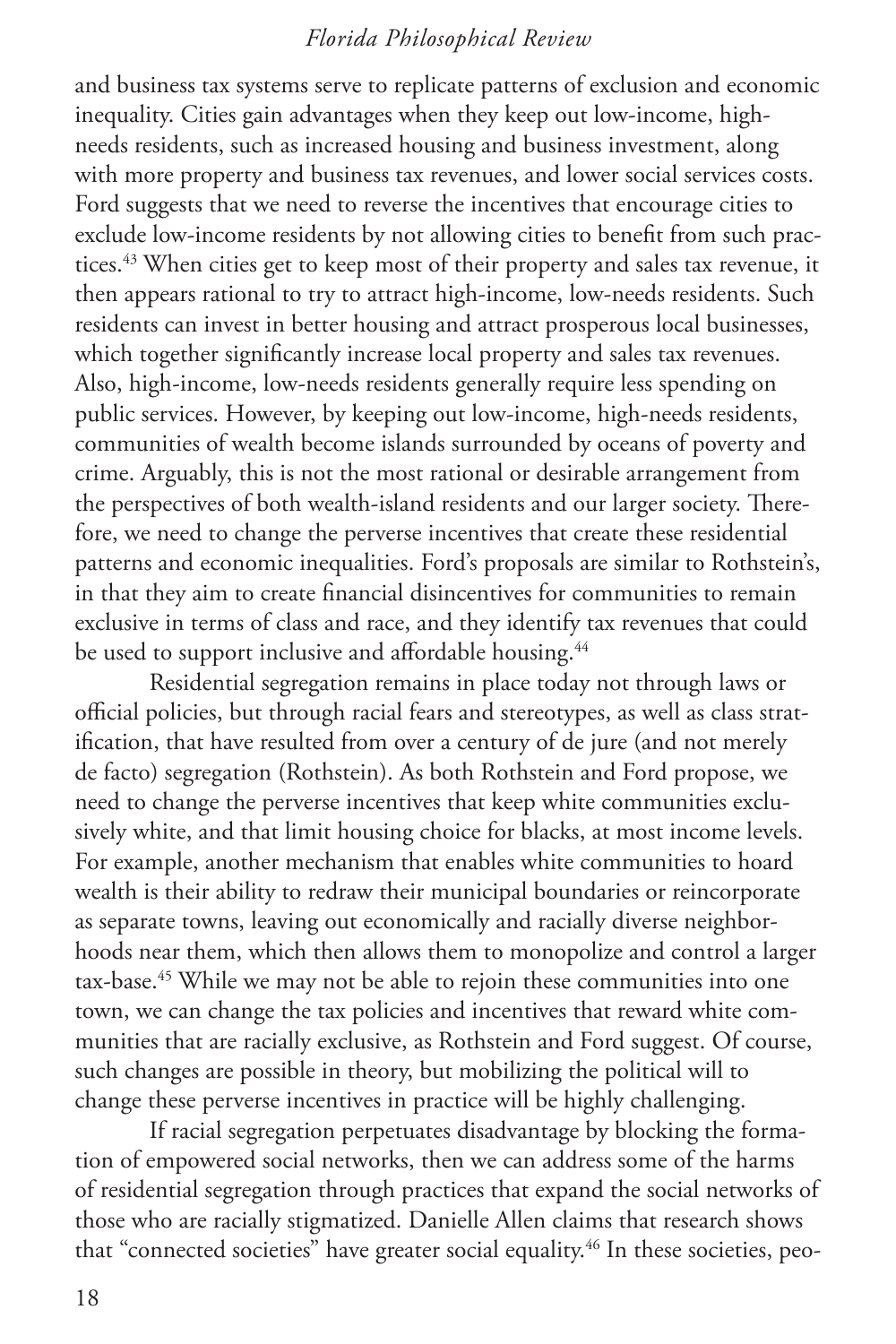and business tax systems serve to replicate patterns of exclusion and economic inequality. Cities gain advantages when they keep out low-income, highneeds residents, such as increased housing and business investment, along with more property and business tax revenues, and lower social services costs. Ford suggests that we need to reverse the incentives that encourage cities to exclude low-income residents by not allowing cities to benefit from such practices.<sup>43</sup> When cities get to keep most of their property and sales tax revenue, it then appears rational to try to attract high-income, low-needs residents. Such residents can invest in better housing and attract prosperous local businesses, which together significantly increase local property and sales tax revenues. Also, high-income, low-needs residents generally require less spending on public services. However, by keeping out low-income, high-needs residents, communities of wealth become islands surrounded by oceans of poverty and crime. Arguably, this is not the most rational or desirable arrangement from the perspectives of both wealth-island residents and our larger society. Therefore, we need to change the perverse incentives that create these residential patterns and economic inequalities. Ford's proposals are similar to Rothstein's, in that they aim to create financial disincentives for communities to remain exclusive in terms of class and race, and they identify tax revenues that could be used to support inclusive and affordable housing.<sup>44</sup>

Residential segregation remains in place today not through laws or official policies, but through racial fears and stereotypes, as well as class stratification, that have resulted from over a century of de jure (and not merely de facto) segregation (Rothstein). As both Rothstein and Ford propose, we need to change the perverse incentives that keep white communities exclusively white, and that limit housing choice for blacks, at most income levels. For example, another mechanism that enables white communities to hoard wealth is their ability to redraw their municipal boundaries or reincorporate as separate towns, leaving out economically and racially diverse neighborhoods near them, which then allows them to monopolize and control a larger tax-base.<sup>45</sup> While we may not be able to rejoin these communities into one town, we can change the tax policies and incentives that reward white communities that are racially exclusive, as Rothstein and Ford suggest. Of course, such changes are possible in theory, but mobilizing the political will to change these perverse incentives in practice will be highly challenging.

If racial segregation perpetuates disadvantage by blocking the formation of empowered social networks, then we can address some of the harms of residential segregation through practices that expand the social networks of those who are racially stigmatized. Danielle Allen claims that research shows that "connected societies" have greater social equality.<sup>46</sup> In these societies, peo-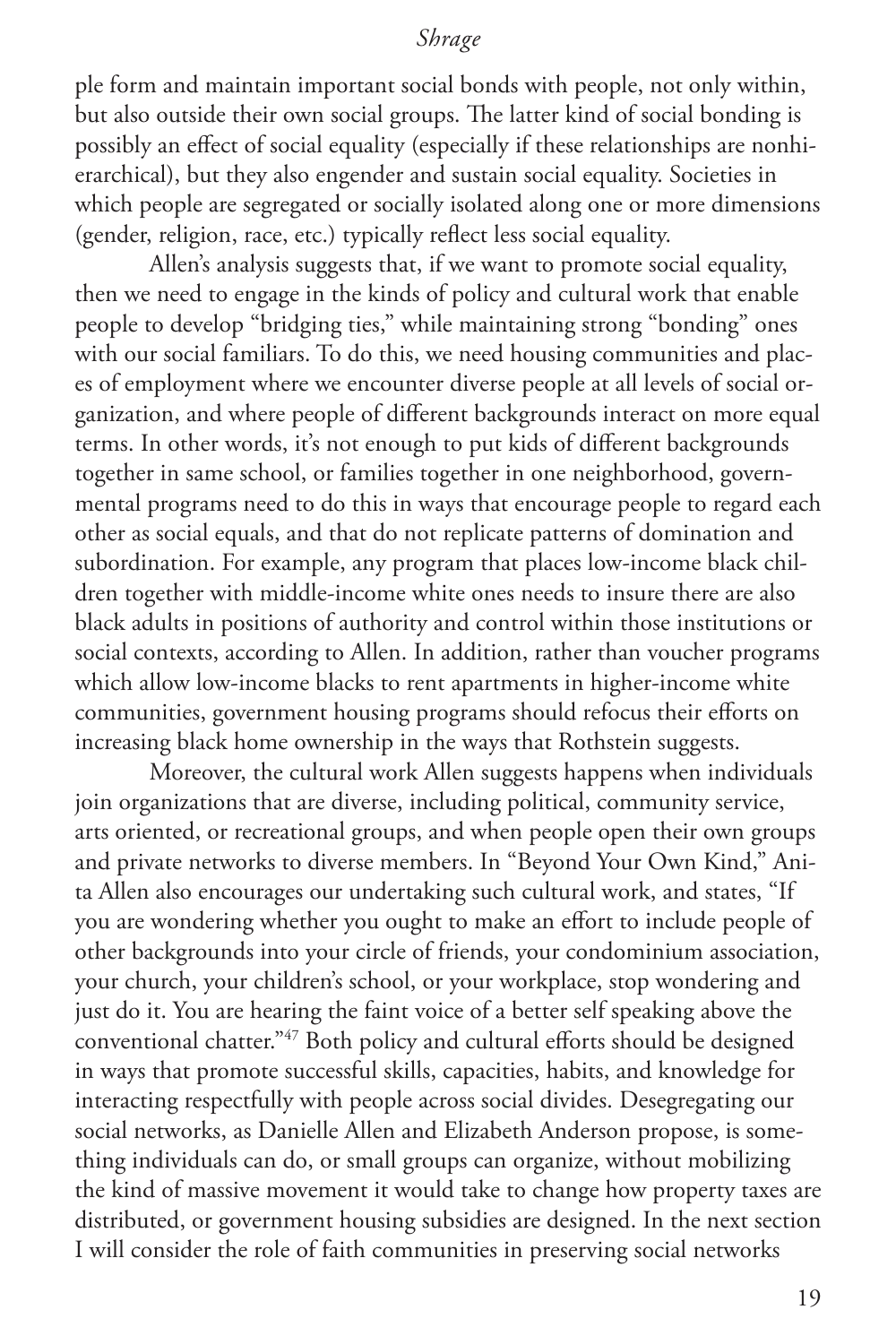ple form and maintain important social bonds with people, not only within, but also outside their own social groups. The latter kind of social bonding is possibly an effect of social equality (especially if these relationships are nonhierarchical), but they also engender and sustain social equality. Societies in which people are segregated or socially isolated along one or more dimensions (gender, religion, race, etc.) typically reflect less social equality.

Allen's analysis suggests that, if we want to promote social equality, then we need to engage in the kinds of policy and cultural work that enable people to develop "bridging ties," while maintaining strong "bonding" ones with our social familiars. To do this, we need housing communities and places of employment where we encounter diverse people at all levels of social organization, and where people of different backgrounds interact on more equal terms. In other words, it's not enough to put kids of different backgrounds together in same school, or families together in one neighborhood, governmental programs need to do this in ways that encourage people to regard each other as social equals, and that do not replicate patterns of domination and subordination. For example, any program that places low-income black children together with middle-income white ones needs to insure there are also black adults in positions of authority and control within those institutions or social contexts, according to Allen. In addition, rather than voucher programs which allow low-income blacks to rent apartments in higher-income white communities, government housing programs should refocus their efforts on increasing black home ownership in the ways that Rothstein suggests.

Moreover, the cultural work Allen suggests happens when individuals join organizations that are diverse, including political, community service, arts oriented, or recreational groups, and when people open their own groups and private networks to diverse members. In "Beyond Your Own Kind," Anita Allen also encourages our undertaking such cultural work, and states, "If you are wondering whether you ought to make an effort to include people of other backgrounds into your circle of friends, your condominium association, your church, your children's school, or your workplace, stop wondering and just do it. You are hearing the faint voice of a better self speaking above the conventional chatter."47 Both policy and cultural efforts should be designed in ways that promote successful skills, capacities, habits, and knowledge for interacting respectfully with people across social divides. Desegregating our social networks, as Danielle Allen and Elizabeth Anderson propose, is something individuals can do, or small groups can organize, without mobilizing the kind of massive movement it would take to change how property taxes are distributed, or government housing subsidies are designed. In the next section I will consider the role of faith communities in preserving social networks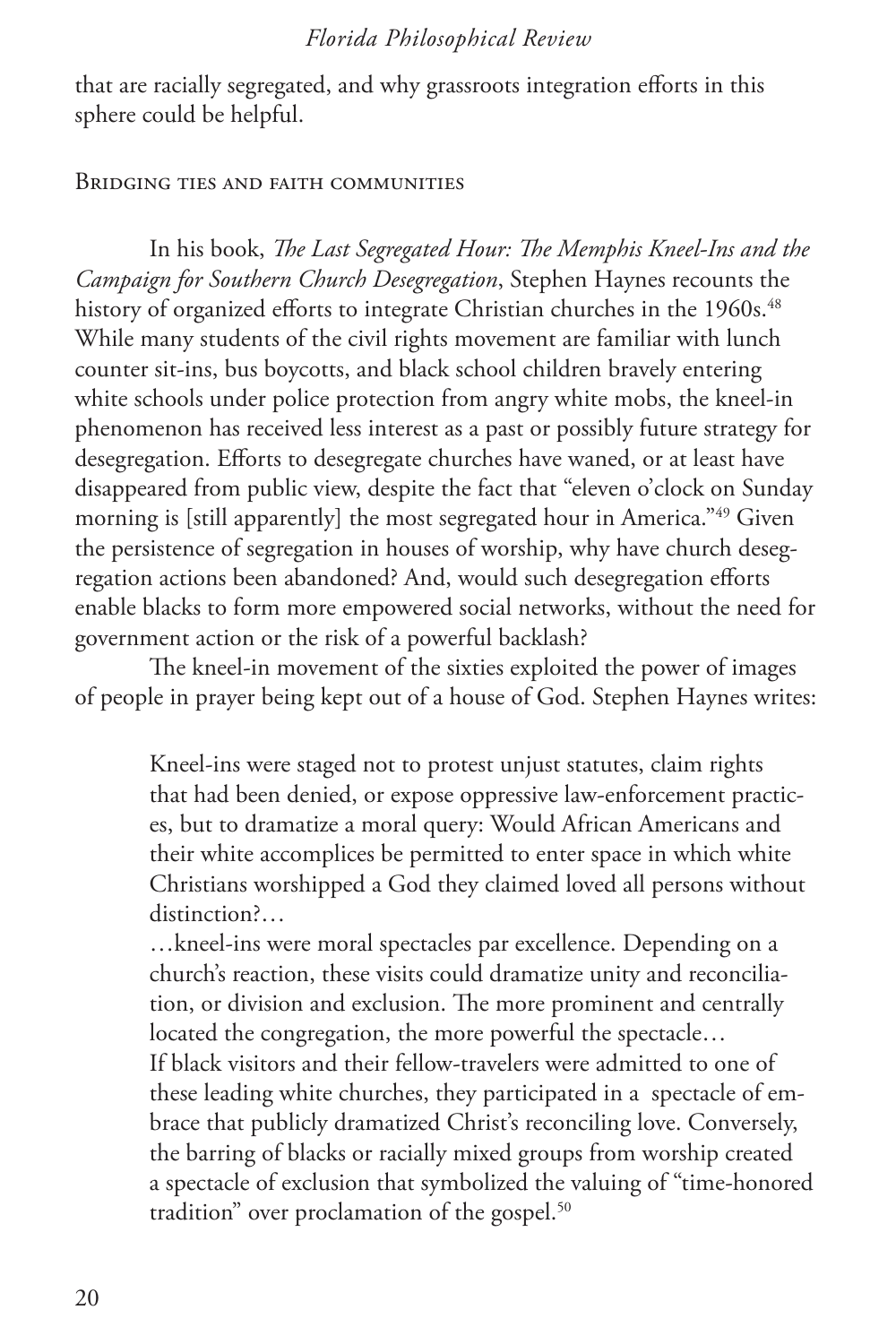that are racially segregated, and why grassroots integration efforts in this sphere could be helpful.

#### Bridging ties and faith communities

In his book, *The Last Segregated Hour: The Memphis Kneel-Ins and the Campaign for Southern Church Desegregation*, Stephen Haynes recounts the history of organized efforts to integrate Christian churches in the 1960s.<sup>48</sup> While many students of the civil rights movement are familiar with lunch counter sit-ins, bus boycotts, and black school children bravely entering white schools under police protection from angry white mobs, the kneel-in phenomenon has received less interest as a past or possibly future strategy for desegregation. Efforts to desegregate churches have waned, or at least have disappeared from public view, despite the fact that "eleven o'clock on Sunday morning is [still apparently] the most segregated hour in America."<sup>49</sup> Given the persistence of segregation in houses of worship, why have church desegregation actions been abandoned? And, would such desegregation efforts enable blacks to form more empowered social networks, without the need for government action or the risk of a powerful backlash?

The kneel-in movement of the sixties exploited the power of images of people in prayer being kept out of a house of God. Stephen Haynes writes:

Kneel-ins were staged not to protest unjust statutes, claim rights that had been denied, or expose oppressive law-enforcement practices, but to dramatize a moral query: Would African Americans and their white accomplices be permitted to enter space in which white Christians worshipped a God they claimed loved all persons without distinction?...

…kneel-ins were moral spectacles par excellence. Depending on a church's reaction, these visits could dramatize unity and reconciliation, or division and exclusion. The more prominent and centrally located the congregation, the more powerful the spectacle… If black visitors and their fellow-travelers were admitted to one of these leading white churches, they participated in a spectacle of embrace that publicly dramatized Christ's reconciling love. Conversely, the barring of blacks or racially mixed groups from worship created a spectacle of exclusion that symbolized the valuing of "time-honored tradition" over proclamation of the gospel.<sup>50</sup>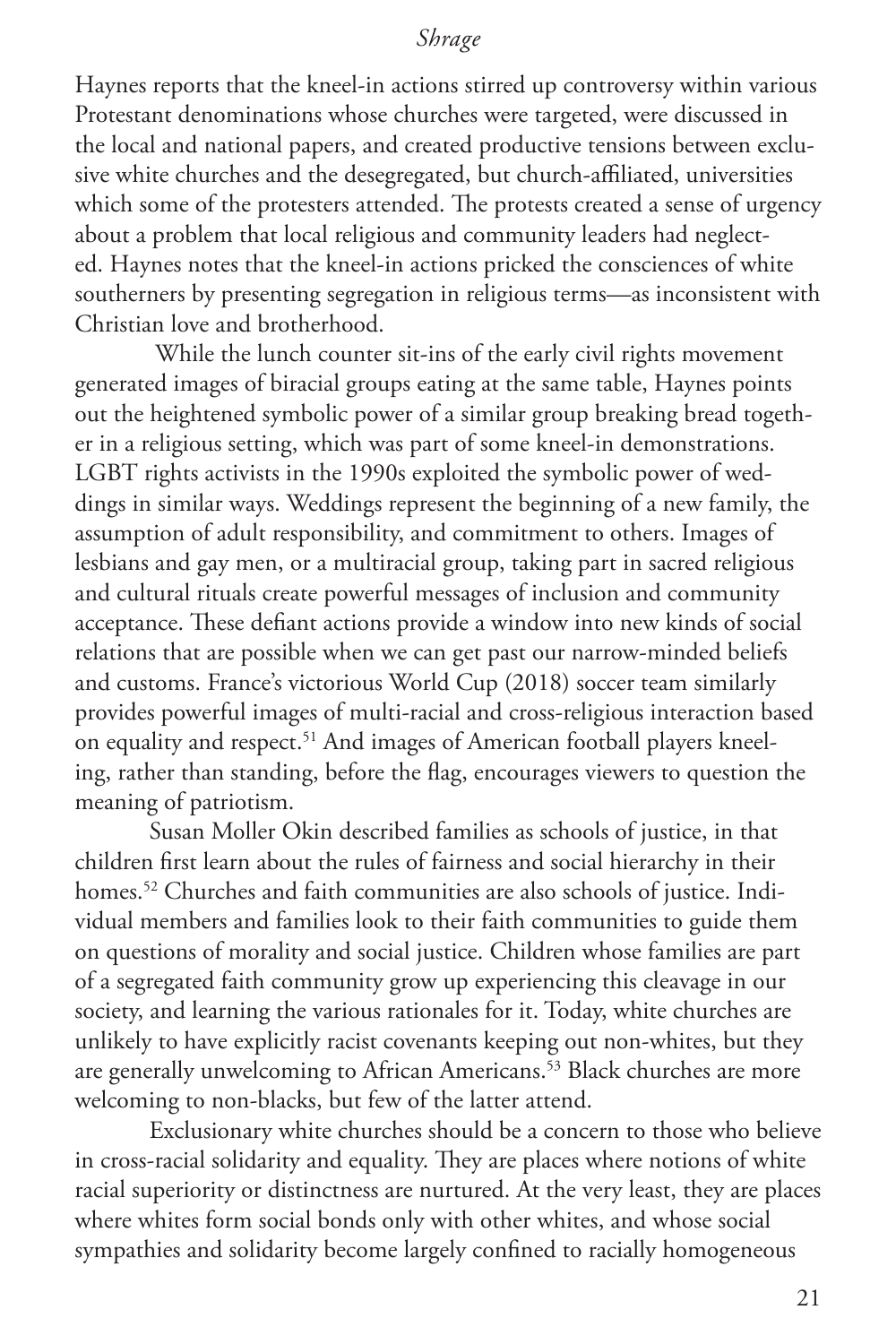Haynes reports that the kneel-in actions stirred up controversy within various Protestant denominations whose churches were targeted, were discussed in the local and national papers, and created productive tensions between exclusive white churches and the desegregated, but church-affiliated, universities which some of the protesters attended. The protests created a sense of urgency about a problem that local religious and community leaders had neglected. Haynes notes that the kneel-in actions pricked the consciences of white southerners by presenting segregation in religious terms—as inconsistent with Christian love and brotherhood.

 While the lunch counter sit-ins of the early civil rights movement generated images of biracial groups eating at the same table, Haynes points out the heightened symbolic power of a similar group breaking bread together in a religious setting, which was part of some kneel-in demonstrations. LGBT rights activists in the 1990s exploited the symbolic power of weddings in similar ways. Weddings represent the beginning of a new family, the assumption of adult responsibility, and commitment to others. Images of lesbians and gay men, or a multiracial group, taking part in sacred religious and cultural rituals create powerful messages of inclusion and community acceptance. These defiant actions provide a window into new kinds of social relations that are possible when we can get past our narrow-minded beliefs and customs. France's victorious World Cup (2018) soccer team similarly provides powerful images of multi-racial and cross-religious interaction based on equality and respect.<sup>51</sup> And images of American football players kneeling, rather than standing, before the flag, encourages viewers to question the meaning of patriotism.

Susan Moller Okin described families as schools of justice, in that children first learn about the rules of fairness and social hierarchy in their homes.<sup>52</sup> Churches and faith communities are also schools of justice. Individual members and families look to their faith communities to guide them on questions of morality and social justice. Children whose families are part of a segregated faith community grow up experiencing this cleavage in our society, and learning the various rationales for it. Today, white churches are unlikely to have explicitly racist covenants keeping out non-whites, but they are generally unwelcoming to African Americans.<sup>53</sup> Black churches are more welcoming to non-blacks, but few of the latter attend.

Exclusionary white churches should be a concern to those who believe in cross-racial solidarity and equality. They are places where notions of white racial superiority or distinctness are nurtured. At the very least, they are places where whites form social bonds only with other whites, and whose social sympathies and solidarity become largely confined to racially homogeneous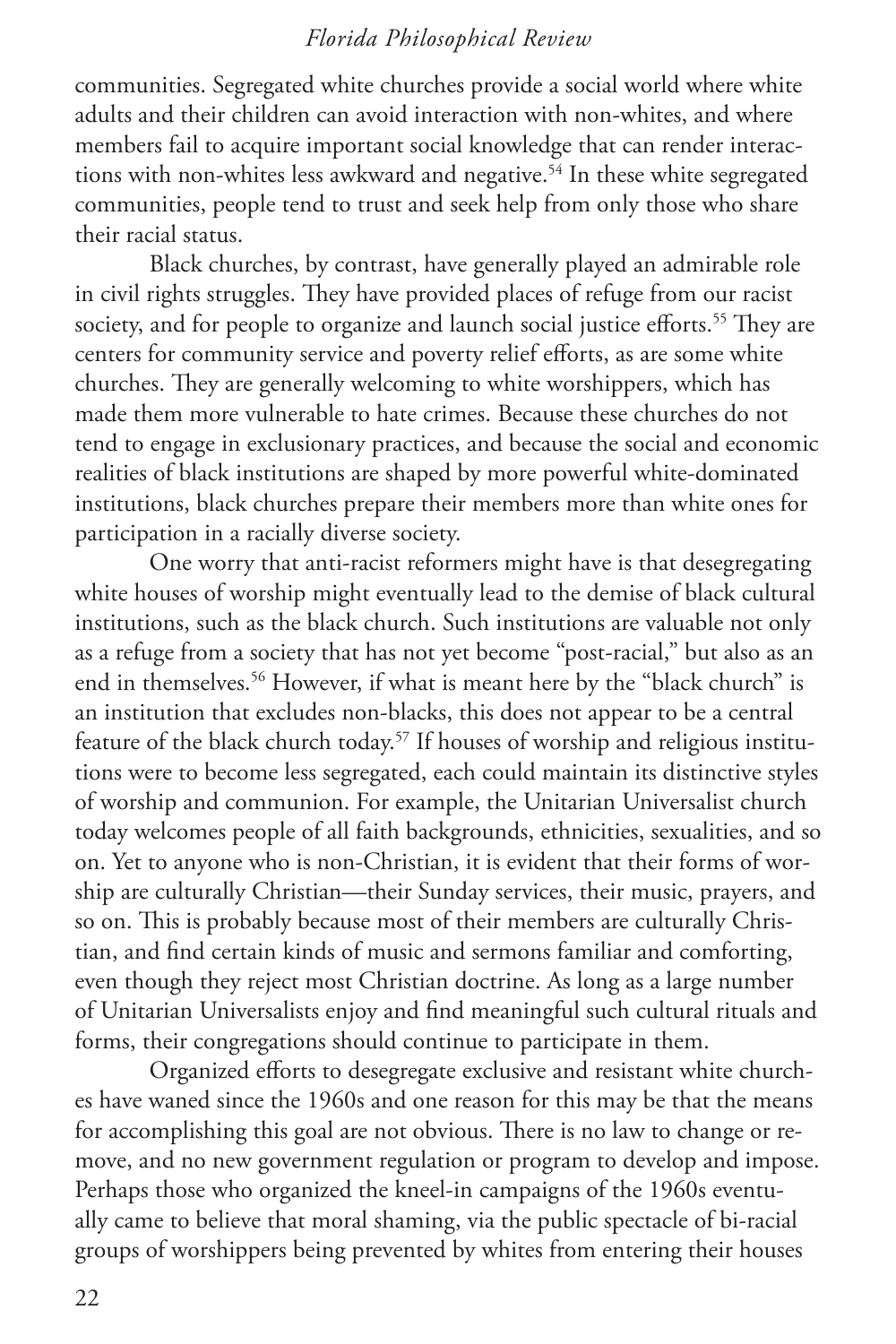communities. Segregated white churches provide a social world where white adults and their children can avoid interaction with non-whites, and where members fail to acquire important social knowledge that can render interactions with non-whites less awkward and negative.<sup>54</sup> In these white segregated communities, people tend to trust and seek help from only those who share their racial status.

Black churches, by contrast, have generally played an admirable role in civil rights struggles. They have provided places of refuge from our racist society, and for people to organize and launch social justice efforts.<sup>55</sup> They are centers for community service and poverty relief efforts, as are some white churches. They are generally welcoming to white worshippers, which has made them more vulnerable to hate crimes. Because these churches do not tend to engage in exclusionary practices, and because the social and economic realities of black institutions are shaped by more powerful white-dominated institutions, black churches prepare their members more than white ones for participation in a racially diverse society.

One worry that anti-racist reformers might have is that desegregating white houses of worship might eventually lead to the demise of black cultural institutions, such as the black church. Such institutions are valuable not only as a refuge from a society that has not yet become "post-racial," but also as an end in themselves.<sup>56</sup> However, if what is meant here by the "black church" is an institution that excludes non-blacks, this does not appear to be a central feature of the black church today.57 If houses of worship and religious institutions were to become less segregated, each could maintain its distinctive styles of worship and communion. For example, the Unitarian Universalist church today welcomes people of all faith backgrounds, ethnicities, sexualities, and so on. Yet to anyone who is non-Christian, it is evident that their forms of worship are culturally Christian—their Sunday services, their music, prayers, and so on. This is probably because most of their members are culturally Christian, and find certain kinds of music and sermons familiar and comforting, even though they reject most Christian doctrine. As long as a large number of Unitarian Universalists enjoy and find meaningful such cultural rituals and forms, their congregations should continue to participate in them.

Organized efforts to desegregate exclusive and resistant white churches have waned since the 1960s and one reason for this may be that the means for accomplishing this goal are not obvious. There is no law to change or remove, and no new government regulation or program to develop and impose. Perhaps those who organized the kneel-in campaigns of the 1960s eventually came to believe that moral shaming, via the public spectacle of bi-racial groups of worshippers being prevented by whites from entering their houses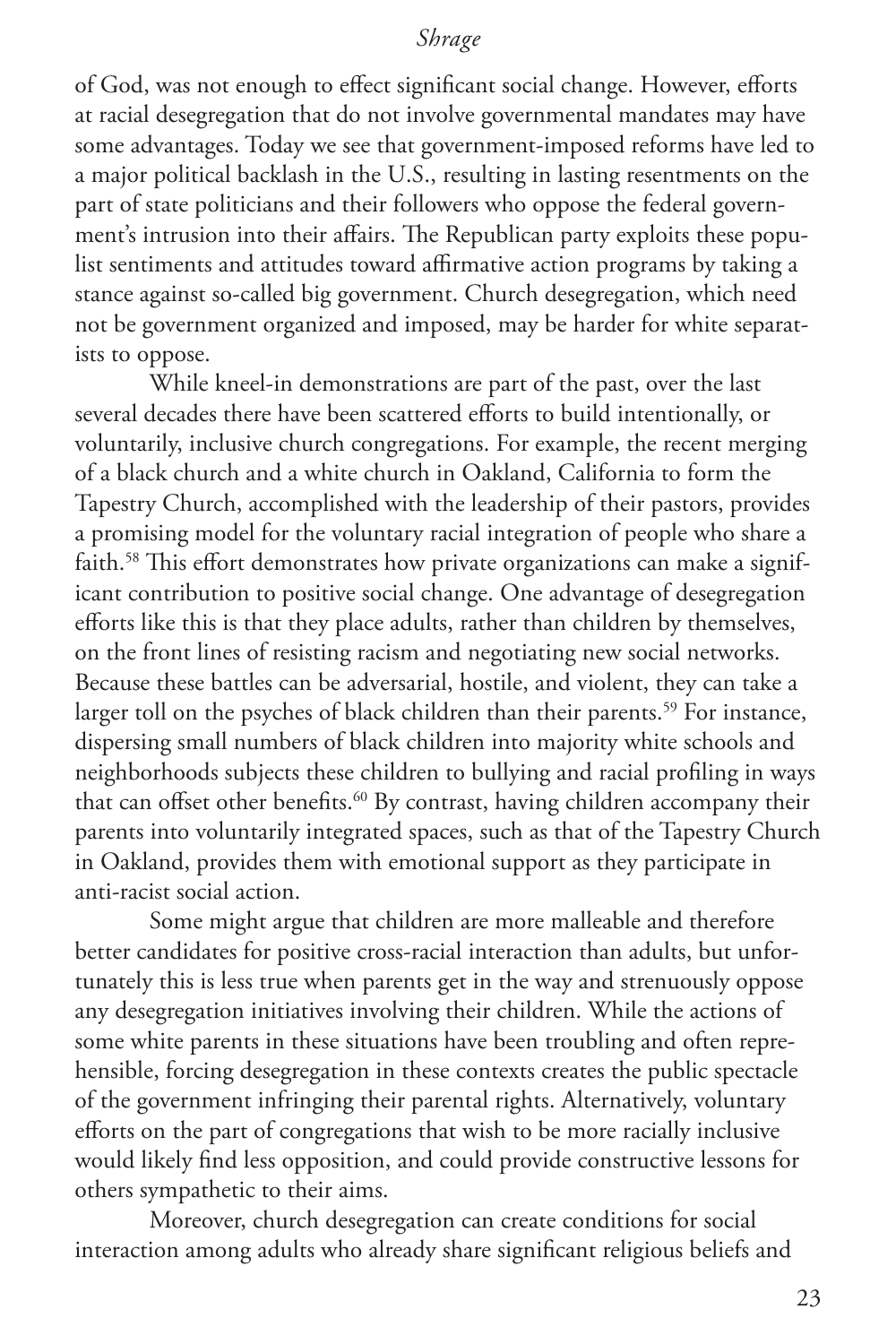of God, was not enough to effect significant social change. However, efforts at racial desegregation that do not involve governmental mandates may have some advantages. Today we see that government-imposed reforms have led to a major political backlash in the U.S., resulting in lasting resentments on the part of state politicians and their followers who oppose the federal government's intrusion into their affairs. The Republican party exploits these populist sentiments and attitudes toward affirmative action programs by taking a stance against so-called big government. Church desegregation, which need not be government organized and imposed, may be harder for white separatists to oppose.

While kneel-in demonstrations are part of the past, over the last several decades there have been scattered efforts to build intentionally, or voluntarily, inclusive church congregations. For example, the recent merging of a black church and a white church in Oakland, California to form the Tapestry Church, accomplished with the leadership of their pastors, provides a promising model for the voluntary racial integration of people who share a faith.<sup>58</sup> This effort demonstrates how private organizations can make a significant contribution to positive social change. One advantage of desegregation efforts like this is that they place adults, rather than children by themselves, on the front lines of resisting racism and negotiating new social networks. Because these battles can be adversarial, hostile, and violent, they can take a larger toll on the psyches of black children than their parents.<sup>59</sup> For instance, dispersing small numbers of black children into majority white schools and neighborhoods subjects these children to bullying and racial profiling in ways that can offset other benefits.<sup>60</sup> By contrast, having children accompany their parents into voluntarily integrated spaces, such as that of the Tapestry Church in Oakland, provides them with emotional support as they participate in anti-racist social action.

Some might argue that children are more malleable and therefore better candidates for positive cross-racial interaction than adults, but unfortunately this is less true when parents get in the way and strenuously oppose any desegregation initiatives involving their children. While the actions of some white parents in these situations have been troubling and often reprehensible, forcing desegregation in these contexts creates the public spectacle of the government infringing their parental rights. Alternatively, voluntary efforts on the part of congregations that wish to be more racially inclusive would likely find less opposition, and could provide constructive lessons for others sympathetic to their aims.

Moreover, church desegregation can create conditions for social interaction among adults who already share significant religious beliefs and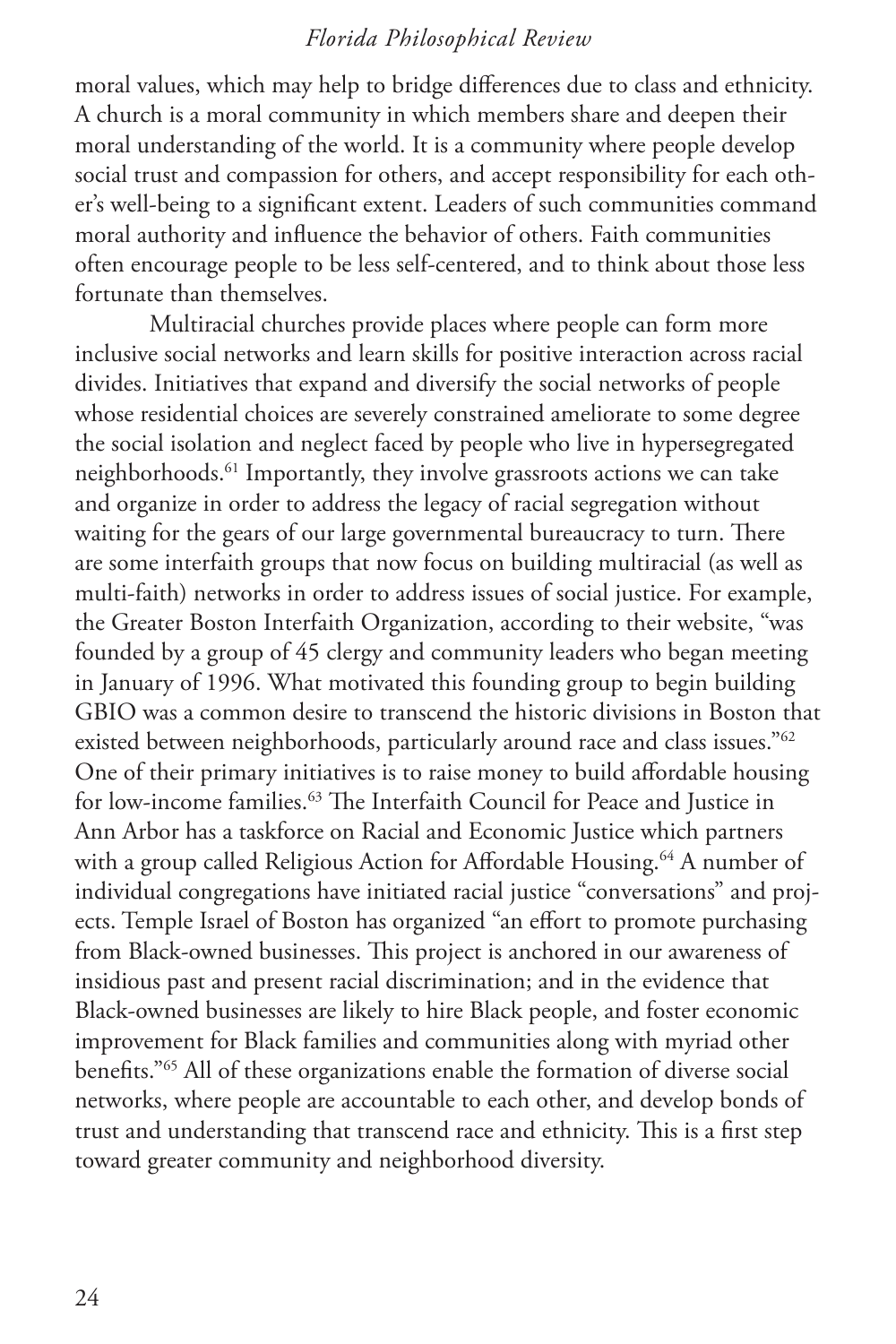moral values, which may help to bridge differences due to class and ethnicity. A church is a moral community in which members share and deepen their moral understanding of the world. It is a community where people develop social trust and compassion for others, and accept responsibility for each other's well-being to a significant extent. Leaders of such communities command moral authority and influence the behavior of others. Faith communities often encourage people to be less self-centered, and to think about those less fortunate than themselves.

Multiracial churches provide places where people can form more inclusive social networks and learn skills for positive interaction across racial divides. Initiatives that expand and diversify the social networks of people whose residential choices are severely constrained ameliorate to some degree the social isolation and neglect faced by people who live in hypersegregated neighborhoods.61 Importantly, they involve grassroots actions we can take and organize in order to address the legacy of racial segregation without waiting for the gears of our large governmental bureaucracy to turn. There are some interfaith groups that now focus on building multiracial (as well as multi-faith) networks in order to address issues of social justice. For example, the Greater Boston Interfaith Organization, according to their website, "was founded by a group of 45 clergy and community leaders who began meeting in January of 1996. What motivated this founding group to begin building GBIO was a common desire to transcend the historic divisions in Boston that existed between neighborhoods, particularly around race and class issues."<sup>62</sup> One of their primary initiatives is to raise money to build affordable housing for low-income families.<sup>63</sup> The Interfaith Council for Peace and Justice in Ann Arbor has a taskforce on Racial and Economic Justice which partners with a group called Religious Action for Affordable Housing.<sup>64</sup> A number of individual congregations have initiated racial justice "conversations" and projects. Temple Israel of Boston has organized "an effort to promote purchasing from Black-owned businesses. This project is anchored in our awareness of insidious past and present racial discrimination; and in the evidence that Black-owned businesses are likely to hire Black people, and foster economic improvement for Black families and communities along with myriad other benefits."65 All of these organizations enable the formation of diverse social networks, where people are accountable to each other, and develop bonds of trust and understanding that transcend race and ethnicity. This is a first step toward greater community and neighborhood diversity.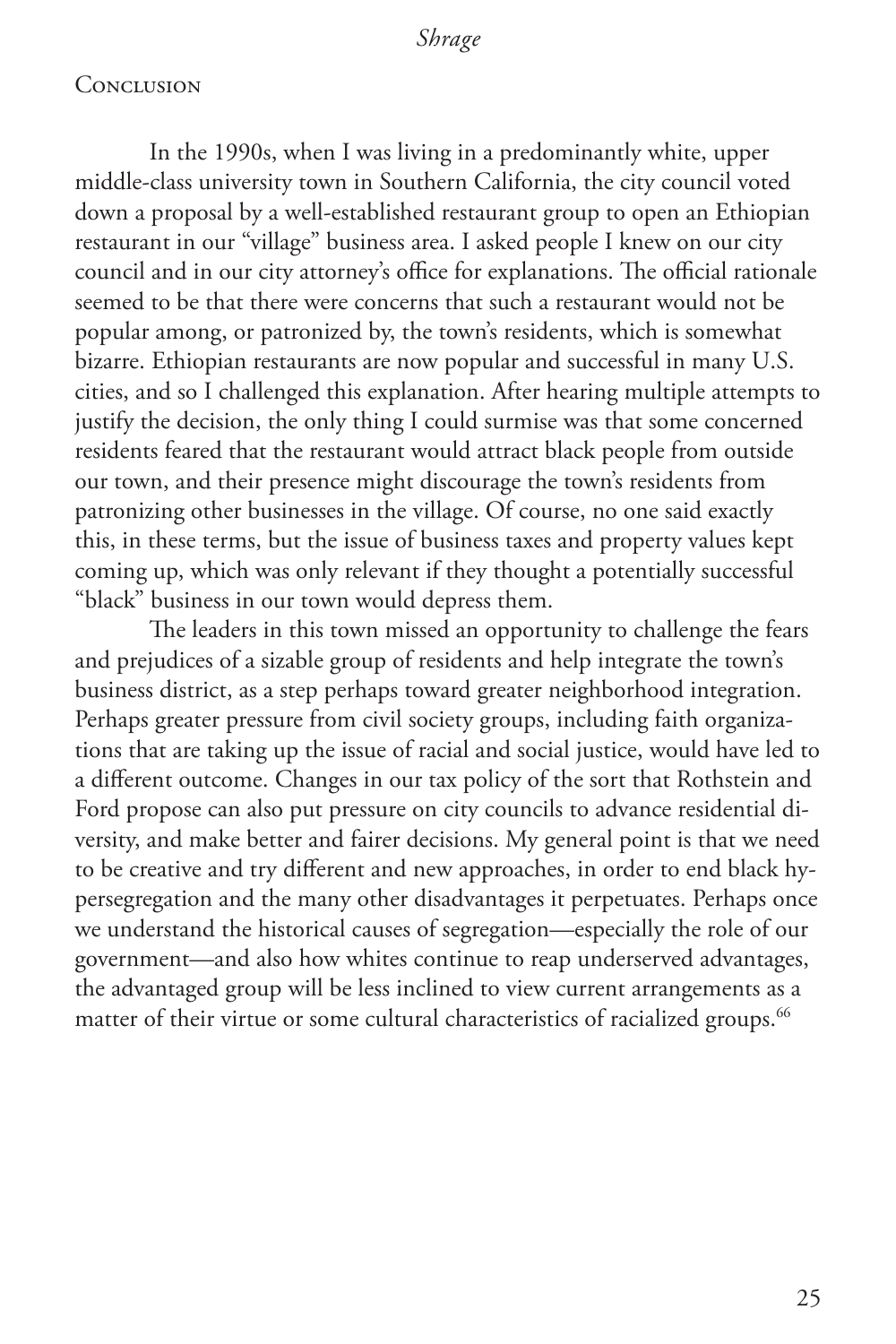#### **CONCLUSION**

In the 1990s, when I was living in a predominantly white, upper middle-class university town in Southern California, the city council voted down a proposal by a well-established restaurant group to open an Ethiopian restaurant in our "village" business area. I asked people I knew on our city council and in our city attorney's office for explanations. The official rationale seemed to be that there were concerns that such a restaurant would not be popular among, or patronized by, the town's residents, which is somewhat bizarre. Ethiopian restaurants are now popular and successful in many U.S. cities, and so I challenged this explanation. After hearing multiple attempts to justify the decision, the only thing I could surmise was that some concerned residents feared that the restaurant would attract black people from outside our town, and their presence might discourage the town's residents from patronizing other businesses in the village. Of course, no one said exactly this, in these terms, but the issue of business taxes and property values kept coming up, which was only relevant if they thought a potentially successful "black" business in our town would depress them.

The leaders in this town missed an opportunity to challenge the fears and prejudices of a sizable group of residents and help integrate the town's business district, as a step perhaps toward greater neighborhood integration. Perhaps greater pressure from civil society groups, including faith organizations that are taking up the issue of racial and social justice, would have led to a different outcome. Changes in our tax policy of the sort that Rothstein and Ford propose can also put pressure on city councils to advance residential diversity, and make better and fairer decisions. My general point is that we need to be creative and try different and new approaches, in order to end black hypersegregation and the many other disadvantages it perpetuates. Perhaps once we understand the historical causes of segregation—especially the role of our government—and also how whites continue to reap underserved advantages, the advantaged group will be less inclined to view current arrangements as a matter of their virtue or some cultural characteristics of racialized groups.<sup>66</sup>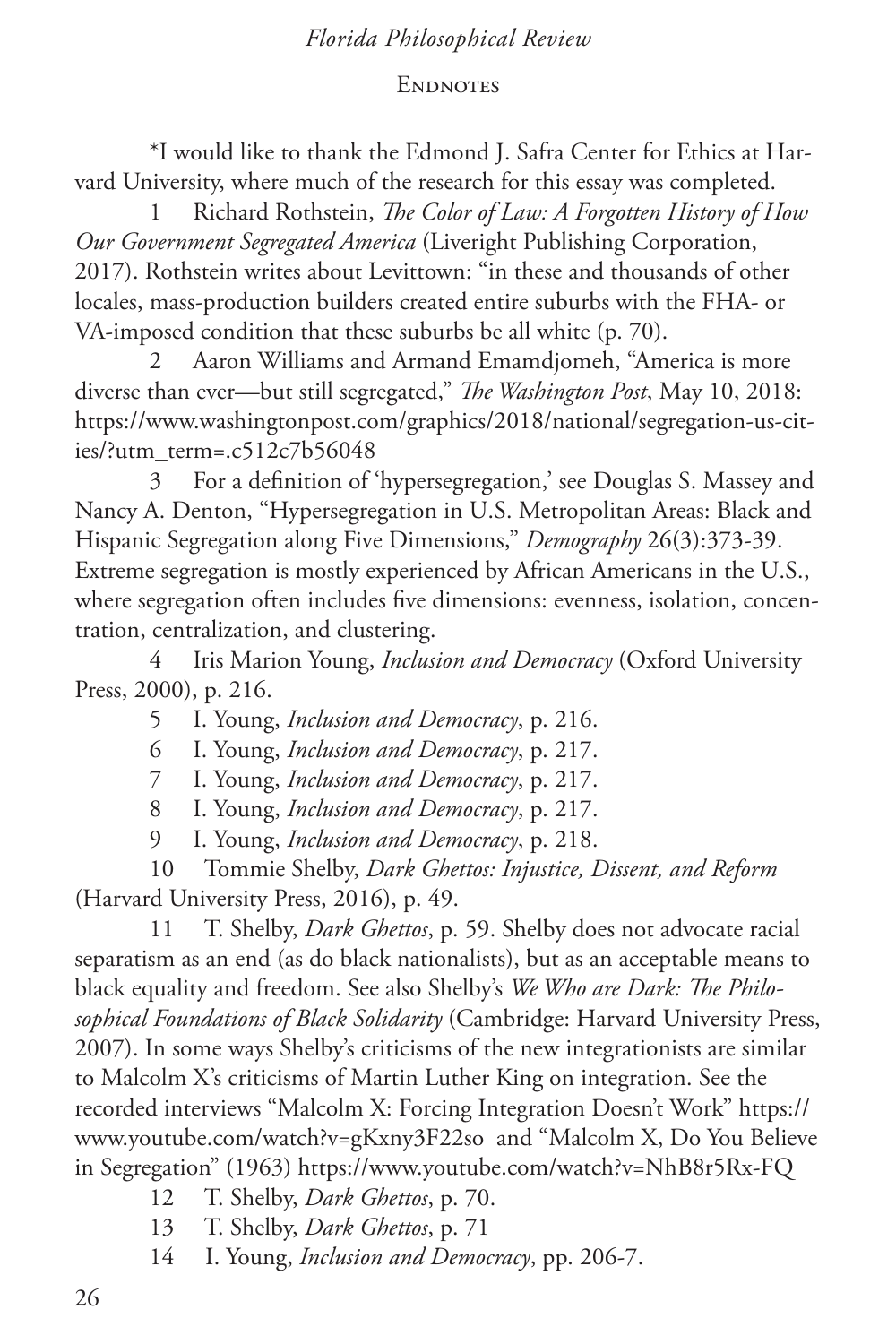### **ENDNOTES**

\*I would like to thank the Edmond J. Safra Center for Ethics at Harvard University, where much of the research for this essay was completed.

1 Richard Rothstein, *The Color of Law: A Forgotten History of How Our Government Segregated America* (Liveright Publishing Corporation, 2017). Rothstein writes about Levittown: "in these and thousands of other locales, mass-production builders created entire suburbs with the FHA- or VA-imposed condition that these suburbs be all white (p. 70).

2 Aaron Williams and Armand Emamdjomeh, "America is more diverse than ever—but still segregated," *The Washington Post*, May 10, 2018: https://www.washingtonpost.com/graphics/2018/national/segregation-us-cities/?utm\_term=.c512c7b56048

3 For a definition of 'hypersegregation,' see Douglas S. Massey and Nancy A. Denton, "Hypersegregation in U.S. Metropolitan Areas: Black and Hispanic Segregation along Five Dimensions," *Demography* 26(3):373-39. Extreme segregation is mostly experienced by African Americans in the U.S., where segregation often includes five dimensions: evenness, isolation, concentration, centralization, and clustering.

4 Iris Marion Young, *Inclusion and Democracy* (Oxford University Press, 2000), p. 216.

5 I. Young, *Inclusion and Democracy*, p. 216.

6 I. Young, *Inclusion and Democracy*, p. 217.

7 I. Young, *Inclusion and Democracy*, p. 217.

8 I. Young, *Inclusion and Democracy*, p. 217.

9 I. Young, *Inclusion and Democracy*, p. 218.

10 Tommie Shelby, *Dark Ghettos: Injustice, Dissent, and Reform* (Harvard University Press, 2016), p. 49.

11 T. Shelby, *Dark Ghettos*, p. 59. Shelby does not advocate racial separatism as an end (as do black nationalists), but as an acceptable means to black equality and freedom. See also Shelby's *We Who are Dark: The Philosophical Foundations of Black Solidarity* (Cambridge: Harvard University Press, 2007). In some ways Shelby's criticisms of the new integrationists are similar to Malcolm X's criticisms of Martin Luther King on integration. See the recorded interviews "Malcolm X: Forcing Integration Doesn't Work" https:// www.youtube.com/watch?v=gKxny3F22so and "Malcolm X, Do You Believe in Segregation" (1963) https://www.youtube.com/watch?v=NhB8r5Rx-FQ

- 12 T. Shelby, *Dark Ghettos*, p. 70.
- 13 T. Shelby, *Dark Ghettos*, p. 71
- 14 I. Young, *Inclusion and Democracy*, pp. 206-7.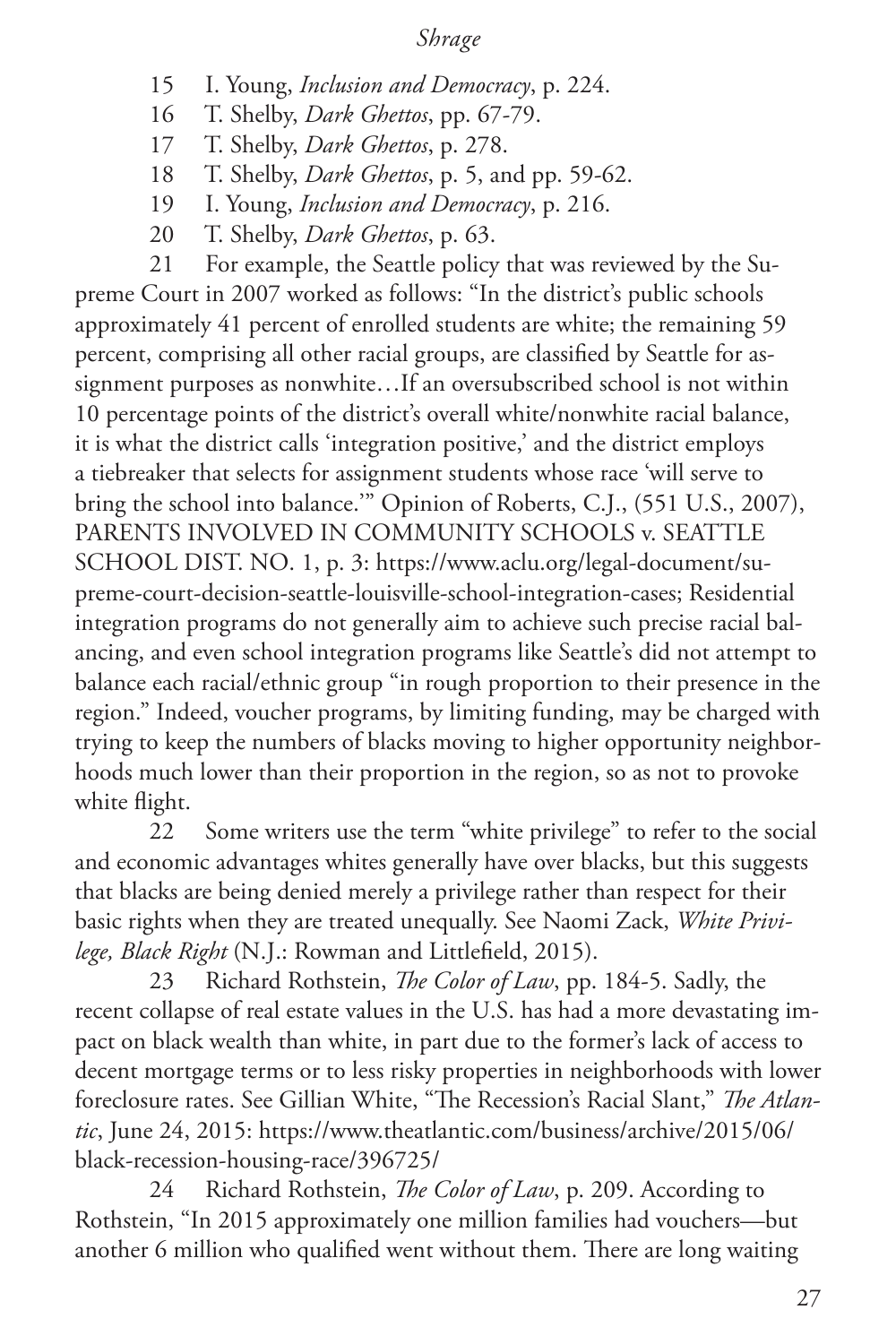- 15 I. Young, *Inclusion and Democracy*, p. 224.
- 16 T. Shelby, *Dark Ghettos*, pp. 67-79.
- 17 T. Shelby, *Dark Ghettos*, p. 278.
- 18 T. Shelby, *Dark Ghettos*, p. 5, and pp. 59-62.
- 19 I. Young, *Inclusion and Democracy*, p. 216.
- 20 T. Shelby, *Dark Ghettos*, p. 63.

21 For example, the Seattle policy that was reviewed by the Supreme Court in 2007 worked as follows: "In the district's public schools approximately 41 percent of enrolled students are white; the remaining 59 percent, comprising all other racial groups, are classified by Seattle for assignment purposes as nonwhite…If an oversubscribed school is not within 10 percentage points of the district's overall white/nonwhite racial balance, it is what the district calls 'integration positive,' and the district employs a tiebreaker that selects for assignment students whose race 'will serve to bring the school into balance.'" Opinion of Roberts, C.J., (551 U.S., 2007), PARENTS INVOLVED IN COMMUNITY SCHOOLS v. SEATTLE SCHOOL DIST. NO. 1, p. 3: https://www.aclu.org/legal-document/supreme-court-decision-seattle-louisville-school-integration-cases; Residential integration programs do not generally aim to achieve such precise racial balancing, and even school integration programs like Seattle's did not attempt to balance each racial/ethnic group "in rough proportion to their presence in the region." Indeed, voucher programs, by limiting funding, may be charged with trying to keep the numbers of blacks moving to higher opportunity neighborhoods much lower than their proportion in the region, so as not to provoke white flight.

22 Some writers use the term "white privilege" to refer to the social and economic advantages whites generally have over blacks, but this suggests that blacks are being denied merely a privilege rather than respect for their basic rights when they are treated unequally. See Naomi Zack, *White Privilege, Black Right* (N.J.: Rowman and Littlefield, 2015).

23 Richard Rothstein, *The Color of Law*, pp. 184-5. Sadly, the recent collapse of real estate values in the U.S. has had a more devastating impact on black wealth than white, in part due to the former's lack of access to decent mortgage terms or to less risky properties in neighborhoods with lower foreclosure rates. See Gillian White, "The Recession's Racial Slant," *The Atlantic*, June 24, 2015: https://www.theatlantic.com/business/archive/2015/06/ black-recession-housing-race/396725/

24 Richard Rothstein, *The Color of Law*, p. 209. According to Rothstein, "In 2015 approximately one million families had vouchers—but another 6 million who qualified went without them. There are long waiting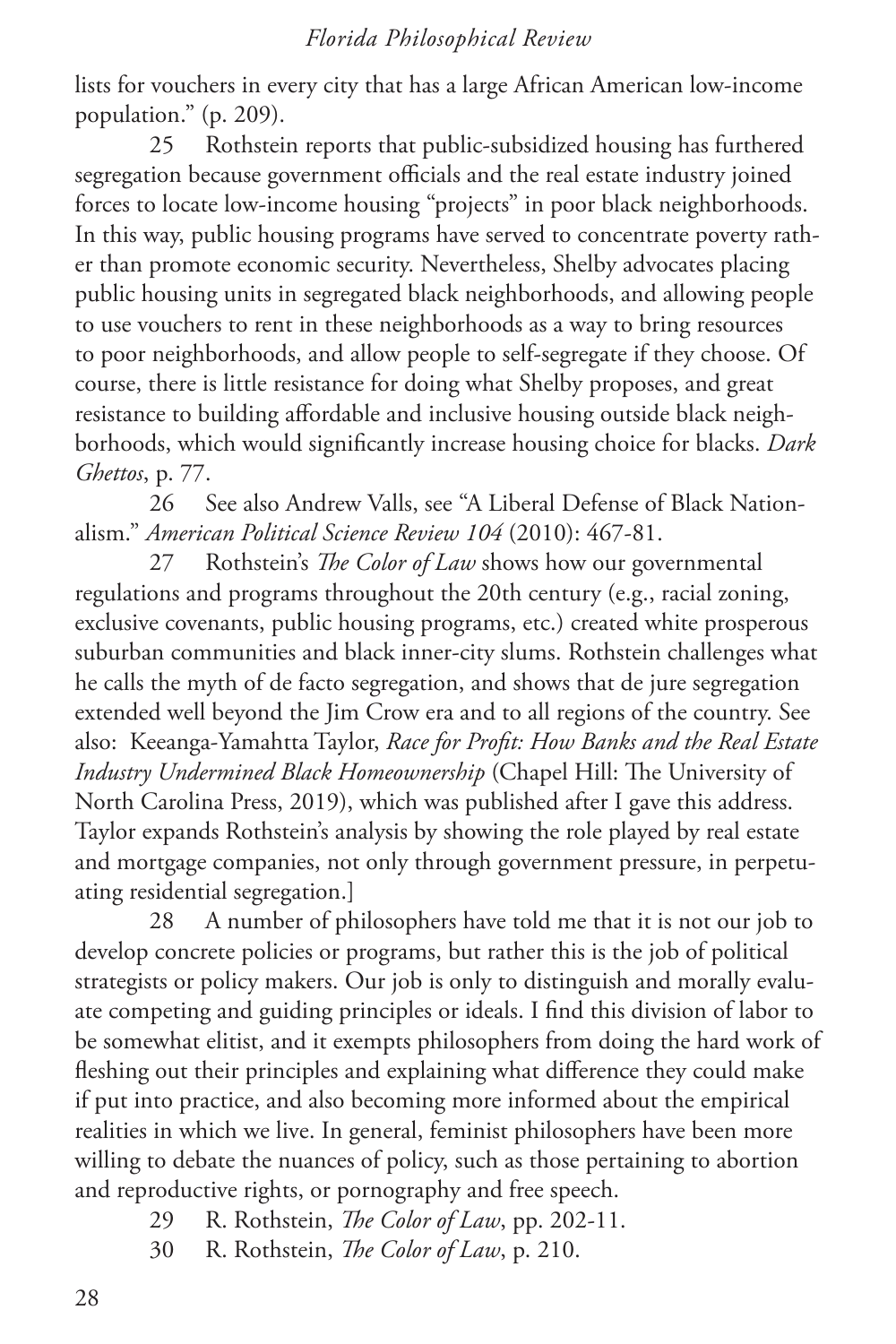lists for vouchers in every city that has a large African American low-income population." (p. 209).

25 Rothstein reports that public-subsidized housing has furthered segregation because government officials and the real estate industry joined forces to locate low-income housing "projects" in poor black neighborhoods. In this way, public housing programs have served to concentrate poverty rather than promote economic security. Nevertheless, Shelby advocates placing public housing units in segregated black neighborhoods, and allowing people to use vouchers to rent in these neighborhoods as a way to bring resources to poor neighborhoods, and allow people to self-segregate if they choose. Of course, there is little resistance for doing what Shelby proposes, and great resistance to building affordable and inclusive housing outside black neighborhoods, which would significantly increase housing choice for blacks. *Dark Ghettos*, p. 77.

26 See also Andrew Valls, see "A Liberal Defense of Black Nationalism." *American Political Science Review 104* (2010): 467-81.

27 Rothstein's *The Color of Law* shows how our governmental regulations and programs throughout the 20th century (e.g., racial zoning, exclusive covenants, public housing programs, etc.) created white prosperous suburban communities and black inner-city slums. Rothstein challenges what he calls the myth of de facto segregation, and shows that de jure segregation extended well beyond the Jim Crow era and to all regions of the country. See also: Keeanga-Yamahtta Taylor, *Race for Profit: How Banks and the Real Estate Industry Undermined Black Homeownership* (Chapel Hill: The University of North Carolina Press, 2019), which was published after I gave this address. Taylor expands Rothstein's analysis by showing the role played by real estate and mortgage companies, not only through government pressure, in perpetuating residential segregation.]

28 A number of philosophers have told me that it is not our job to develop concrete policies or programs, but rather this is the job of political strategists or policy makers. Our job is only to distinguish and morally evaluate competing and guiding principles or ideals. I find this division of labor to be somewhat elitist, and it exempts philosophers from doing the hard work of fleshing out their principles and explaining what difference they could make if put into practice, and also becoming more informed about the empirical realities in which we live. In general, feminist philosophers have been more willing to debate the nuances of policy, such as those pertaining to abortion and reproductive rights, or pornography and free speech.

- 29 R. Rothstein, *The Color of Law*, pp. 202-11.
- 30 R. Rothstein, *The Color of Law*, p. 210.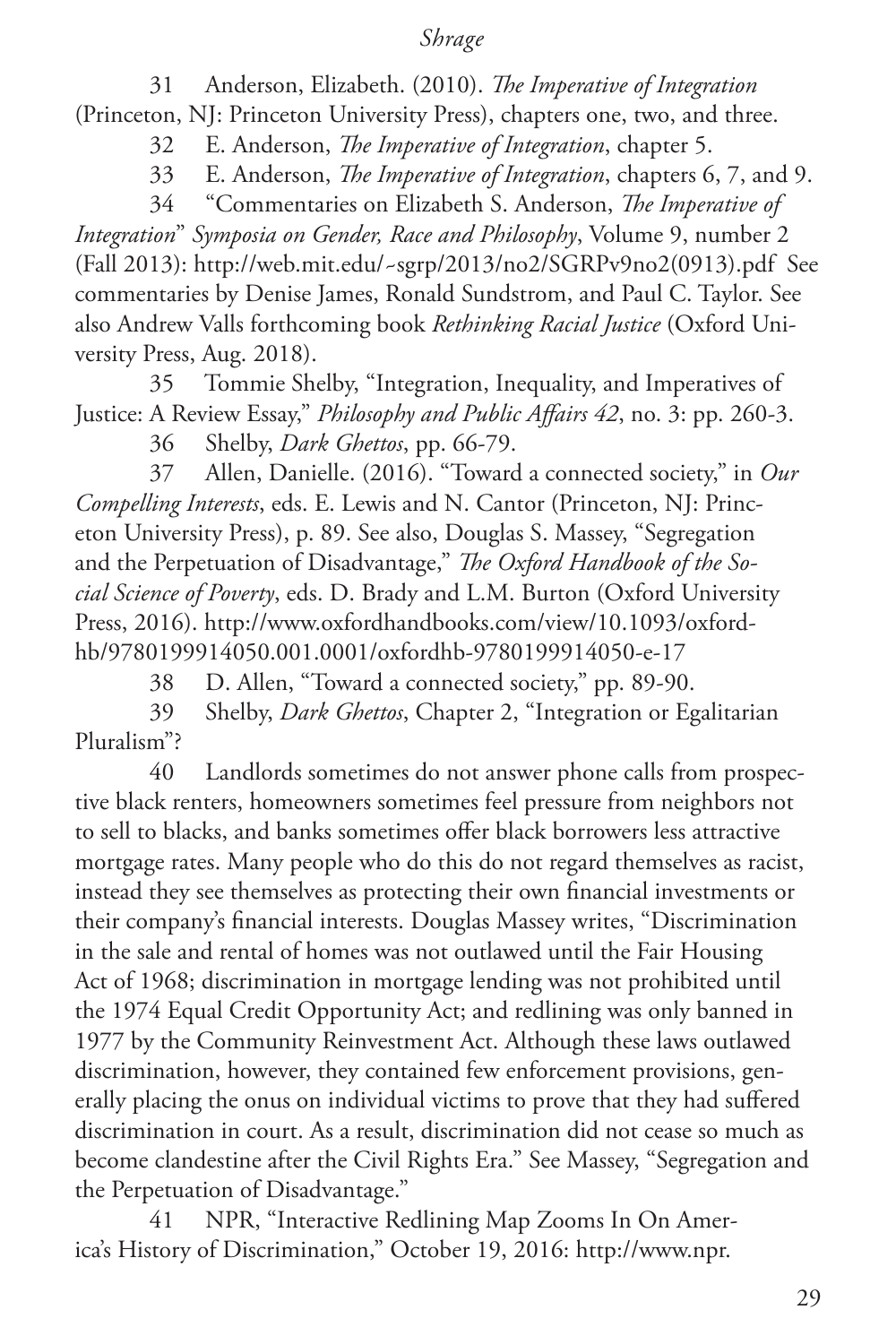31 Anderson, Elizabeth. (2010). *The Imperative of Integration*

(Princeton, NJ: Princeton University Press), chapters one, two, and three.

32 E. Anderson, *The Imperative of Integration*, chapter 5.

33 E. Anderson, *The Imperative of Integration*, chapters 6, 7, and 9.

34 "Commentaries on Elizabeth S. Anderson, *The Imperative of Integration*" *Symposia on Gender, Race and Philosophy*, Volume 9, number 2 (Fall 2013): http://web.mit.edu/~sgrp/2013/no2/SGRPv9no2(0913).pdf See commentaries by Denise James, Ronald Sundstrom, and Paul C. Taylor. See also Andrew Valls forthcoming book *Rethinking Racial Justice* (Oxford University Press, Aug. 2018).

35 Tommie Shelby, "Integration, Inequality, and Imperatives of Justice: A Review Essay," *Philosophy and Public Affairs 42*, no. 3: pp. 260-3.

36 Shelby, *Dark Ghettos*, pp. 66-79.

37 Allen, Danielle. (2016). "Toward a connected society," in *Our Compelling Interests*, eds. E. Lewis and N. Cantor (Princeton, NJ: Princeton University Press), p. 89. See also, Douglas S. Massey, "Segregation and the Perpetuation of Disadvantage," *The Oxford Handbook of the Social Science of Poverty*, eds. D. Brady and L.M. Burton (Oxford University Press, 2016). http://www.oxfordhandbooks.com/view/10.1093/oxfordhb/9780199914050.001.0001/oxfordhb-9780199914050-e-17

38 D. Allen, "Toward a connected society," pp. 89-90.

39 Shelby, *Dark Ghettos*, Chapter 2, "Integration or Egalitarian Pluralism"?

40 Landlords sometimes do not answer phone calls from prospective black renters, homeowners sometimes feel pressure from neighbors not to sell to blacks, and banks sometimes offer black borrowers less attractive mortgage rates. Many people who do this do not regard themselves as racist, instead they see themselves as protecting their own financial investments or their company's financial interests. Douglas Massey writes, "Discrimination in the sale and rental of homes was not outlawed until the Fair Housing Act of 1968; discrimination in mortgage lending was not prohibited until the 1974 Equal Credit Opportunity Act; and redlining was only banned in 1977 by the Community Reinvestment Act. Although these laws outlawed discrimination, however, they contained few enforcement provisions, generally placing the onus on individual victims to prove that they had suffered discrimination in court. As a result, discrimination did not cease so much as become clandestine after the Civil Rights Era." See Massey, "Segregation and the Perpetuation of Disadvantage."

41 NPR, "Interactive Redlining Map Zooms In On America's History of Discrimination," October 19, 2016: http://www.npr.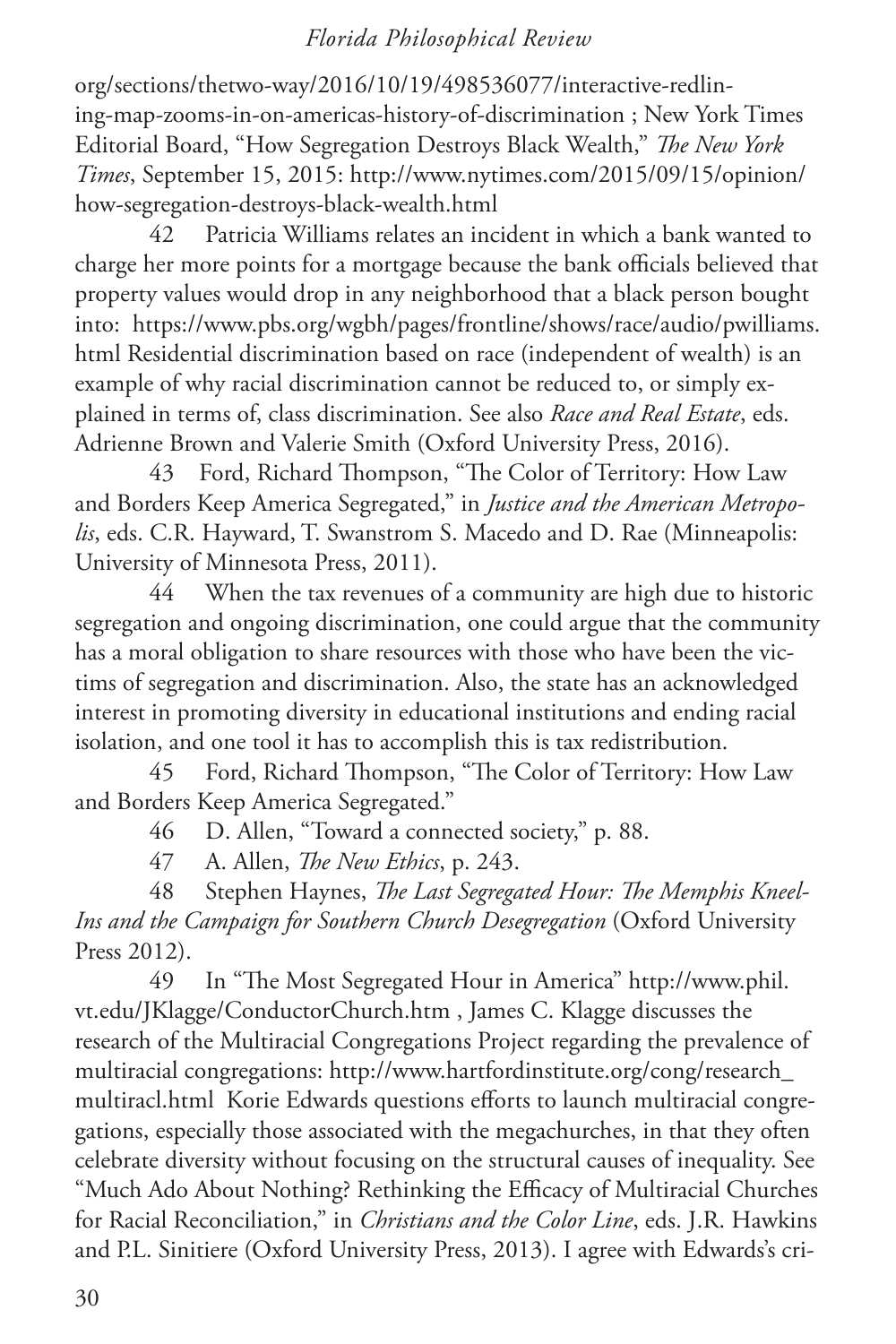org/sections/thetwo-way/2016/10/19/498536077/interactive-redlining-map-zooms-in-on-americas-history-of-discrimination ; New York Times Editorial Board, "How Segregation Destroys Black Wealth," *The New York Times*, September 15, 2015: http://www.nytimes.com/2015/09/15/opinion/ how-segregation-destroys-black-wealth.html

42 Patricia Williams relates an incident in which a bank wanted to charge her more points for a mortgage because the bank officials believed that property values would drop in any neighborhood that a black person bought into: https://www.pbs.org/wgbh/pages/frontline/shows/race/audio/pwilliams. html Residential discrimination based on race (independent of wealth) is an example of why racial discrimination cannot be reduced to, or simply explained in terms of, class discrimination. See also *Race and Real Estate*, eds. Adrienne Brown and Valerie Smith (Oxford University Press, 2016).

43 Ford, Richard Thompson, "The Color of Territory: How Law and Borders Keep America Segregated," in *Justice and the American Metropolis*, eds. C.R. Hayward, T. Swanstrom S. Macedo and D. Rae (Minneapolis: University of Minnesota Press, 2011).

44 When the tax revenues of a community are high due to historic segregation and ongoing discrimination, one could argue that the community has a moral obligation to share resources with those who have been the victims of segregation and discrimination. Also, the state has an acknowledged interest in promoting diversity in educational institutions and ending racial isolation, and one tool it has to accomplish this is tax redistribution.

45 Ford, Richard Thompson, "The Color of Territory: How Law and Borders Keep America Segregated."

46 D. Allen, "Toward a connected society," p. 88.

47 A. Allen, *The New Ethics*, p. 243.

48 Stephen Haynes, *The Last Segregated Hour: The Memphis Kneel-Ins and the Campaign for Southern Church Desegregation* (Oxford University Press 2012).

49 In "The Most Segregated Hour in America" http://www.phil. vt.edu/JKlagge/ConductorChurch.htm , James C. Klagge discusses the research of the Multiracial Congregations Project regarding the prevalence of multiracial congregations: http://www.hartfordinstitute.org/cong/research\_ multiracl.html Korie Edwards questions efforts to launch multiracial congregations, especially those associated with the megachurches, in that they often celebrate diversity without focusing on the structural causes of inequality. See "Much Ado About Nothing? Rethinking the Efficacy of Multiracial Churches for Racial Reconciliation," in *Christians and the Color Line*, eds. J.R. Hawkins and P.L. Sinitiere (Oxford University Press, 2013). I agree with Edwards's cri-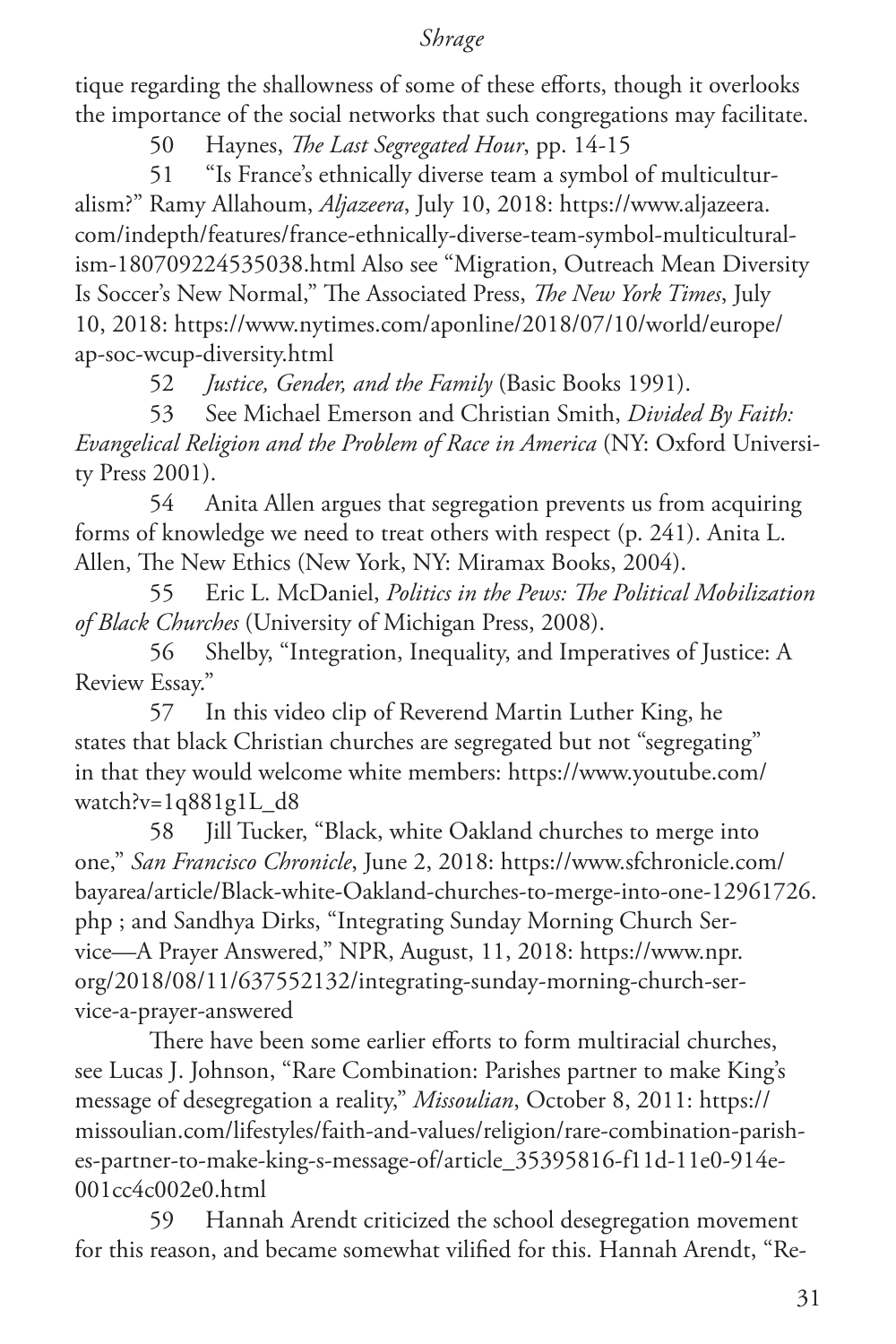tique regarding the shallowness of some of these efforts, though it overlooks the importance of the social networks that such congregations may facilitate.

50 Haynes, *The Last Segregated Hour*, pp. 14-15

51 "Is France's ethnically diverse team a symbol of multiculturalism?" Ramy Allahoum, *Aljazeera*, July 10, 2018: https://www.aljazeera. com/indepth/features/france-ethnically-diverse-team-symbol-multiculturalism-180709224535038.html Also see "Migration, Outreach Mean Diversity Is Soccer's New Normal," The Associated Press, *The New York Times*, July 10, 2018: https://www.nytimes.com/aponline/2018/07/10/world/europe/ ap-soc-wcup-diversity.html

52 *Justice, Gender, and the Family* (Basic Books 1991).

53 See Michael Emerson and Christian Smith, *Divided By Faith: Evangelical Religion and the Problem of Race in America* (NY: Oxford University Press 2001).

54 Anita Allen argues that segregation prevents us from acquiring forms of knowledge we need to treat others with respect (p. 241). Anita L. Allen, The New Ethics (New York, NY: Miramax Books, 2004).

55 Eric L. McDaniel, *Politics in the Pews: The Political Mobilization of Black Churches* (University of Michigan Press, 2008).

56 Shelby, "Integration, Inequality, and Imperatives of Justice: A Review Essay."

57 In this video clip of Reverend Martin Luther King, he states that black Christian churches are segregated but not "segregating" in that they would welcome white members: https://www.youtube.com/ watch?v=1q881g1L\_d8

58 Jill Tucker, "Black, white Oakland churches to merge into one," *San Francisco Chronicle*, June 2, 2018: https://www.sfchronicle.com/ bayarea/article/Black-white-Oakland-churches-to-merge-into-one-12961726. php ; and Sandhya Dirks, "Integrating Sunday Morning Church Service—A Prayer Answered," NPR, August, 11, 2018: https://www.npr. org/2018/08/11/637552132/integrating-sunday-morning-church-service-a-prayer-answered

There have been some earlier efforts to form multiracial churches, see Lucas J. Johnson, "Rare Combination: Parishes partner to make King's message of desegregation a reality," *Missoulian*, October 8, 2011: https:// missoulian.com/lifestyles/faith-and-values/religion/rare-combination-parishes-partner-to-make-king-s-message-of/article\_35395816-f11d-11e0-914e-001cc4c002e0.html

59 Hannah Arendt criticized the school desegregation movement for this reason, and became somewhat vilified for this. Hannah Arendt, "Re-